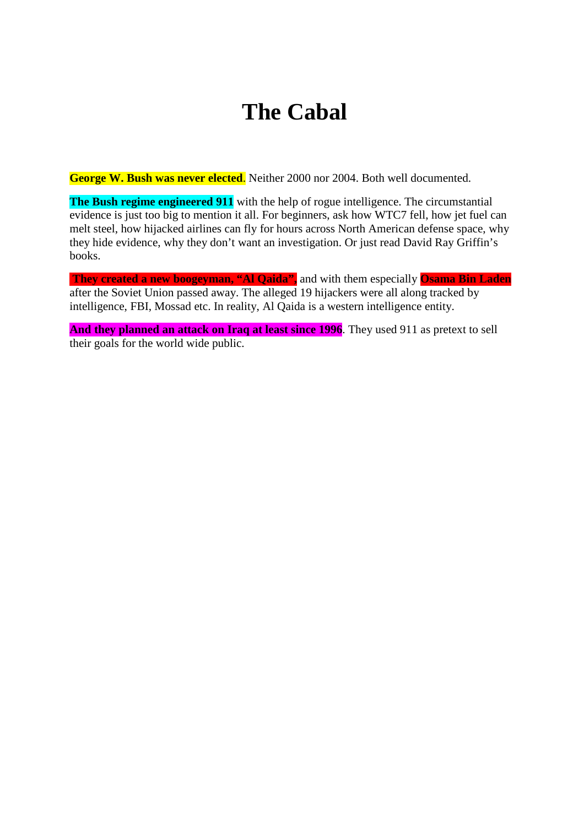# **The Cabal**

**George W. Bush was never elected**. Neither 2000 nor 2004. Both well documented.

**The Bush regime engineered 911** with the help of rogue intelligence. The circumstantial evidence is just too big to mention it all. For beginners, ask how WTC7 fell, how jet fuel can melt steel, how hijacked airlines can fly for hours across North American defense space, why they hide evidence, why they don't want an investigation. Or just read David Ray Griffin's books.

 **They created a new boogeyman, "Al Qaida",** and with them especially **Osama Bin Laden** after the Soviet Union passed away. The alleged 19 hijackers were all along tracked by intelligence, FBI, Mossad etc. In reality, Al Qaida is a western intelligence entity.

**And they planned an attack on Iraq at least since 1996**. They used 911 as pretext to sell their goals for the world wide public.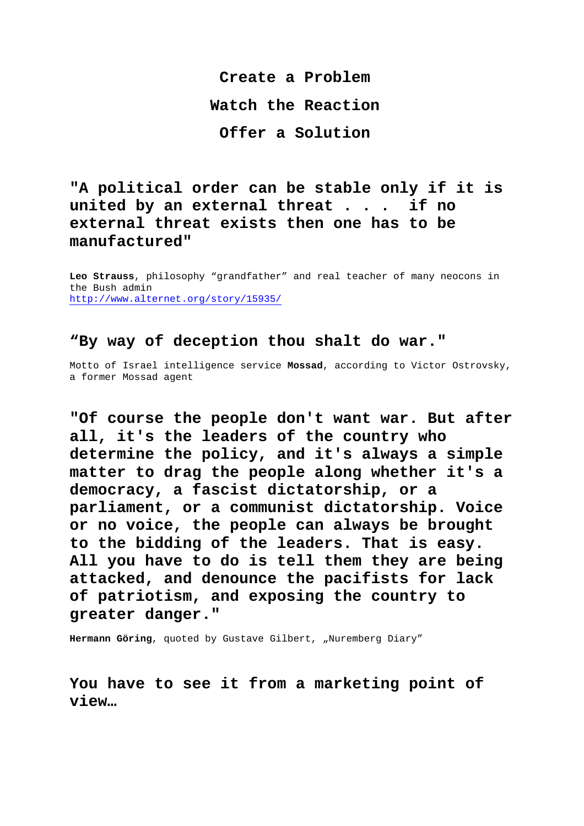**Create a Problem Watch the Reaction Offer a Solution** 

**"A political order can be stable only if it is united by an external threat . . . if no external threat exists then one has to be manufactured"** 

**Leo Strauss**, philosophy "grandfather" and real teacher of many neocons in the Bush admin http://www.alternet.org/story/15935/

#### **"By way of deception thou shalt do war."**

Motto of Israel intelligence service **Mossad**, according to Victor Ostrovsky, a former Mossad agent

**"Of course the people don't want war. But after all, it's the leaders of the country who determine the policy, and it's always a simple matter to drag the people along whether it's a democracy, a fascist dictatorship, or a parliament, or a communist dictatorship. Voice or no voice, the people can always be brought to the bidding of the leaders. That is easy. All you have to do is tell them they are being attacked, and denounce the pacifists for lack of patriotism, and exposing the country to greater danger."** 

Hermann Göring, quoted by Gustave Gilbert, "Nuremberg Diary"

**You have to see it from a marketing point of view…**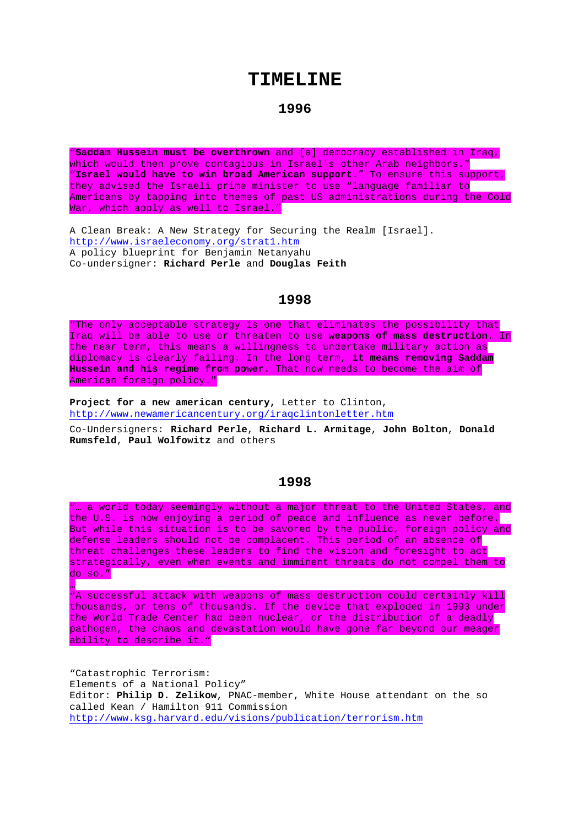#### **TIMELINE**

#### **1996**

"**Saddam Hussein must be overthrown** and [a] democracy established in Iraq, which would then prove contagious in Israel's other Arab neighbors." "**Israel would have to win broad American support**." To ensure this support, they advised the Israeli prime minister to use "language familiar to Americans by tapping into themes of past US administrations during the Cold War, which apply as well to Israel."

A Clean Break: A New Strategy for Securing the Realm [Israel]. http://www.israeleconomy.org/strat1.htm A policy blueprint for Benjamin Netanyahu Co-undersigner: **Richard Perle** and **Douglas Feith**

#### **1998**

"The only acceptable strategy is one that eliminates the possibility that Iraq will be able to use or threaten to use **weapons of mass destruction**. In the near term, this means a willingness to undertake military action as diplomacy is clearly failing. In the long term, **it means removing Saddam Hussein and his regime from power**. That now needs to become the aim of American foreign policy."

**Project for a new american century,** Letter to Clinton, http://www.newamericancentury.org/iraqclintonletter.htm

…

Co-Undersigners: **Richard Perle**, **Richard L. Armitage**, **John Bolton**, **Donald Rumsfeld**, **Paul Wolfowitz** and others

#### **1998**

"… a world today seemingly without a major threat to the United States, and the U.S. is now enjoying a period of peace and influence as never before. But while this situation is to be savored by the public, foreign policy and defense leaders should not be complacent. This period of an absence of threat challenges these leaders to find the vision and foresight to act strategically, even when events and imminent threats do not compel them to do so."

"A successful attack with weapons of mass destruction could certainly kill thousands, or tens of thousands. If the device that exploded in 1993 under the World Trade Center had been nuclear, or the distribution of a deadly pathogen, the chaos and devastation would have gone far beyond our meager ability to describe it."

"Catastrophic Terrorism: Elements of a National Policy" Editor: **Philip D. Zelikow**, PNAC-member, White House attendant on the so called Kean / Hamilton 911 Commission http://www.ksg.harvard.edu/visions/publication/terrorism.htm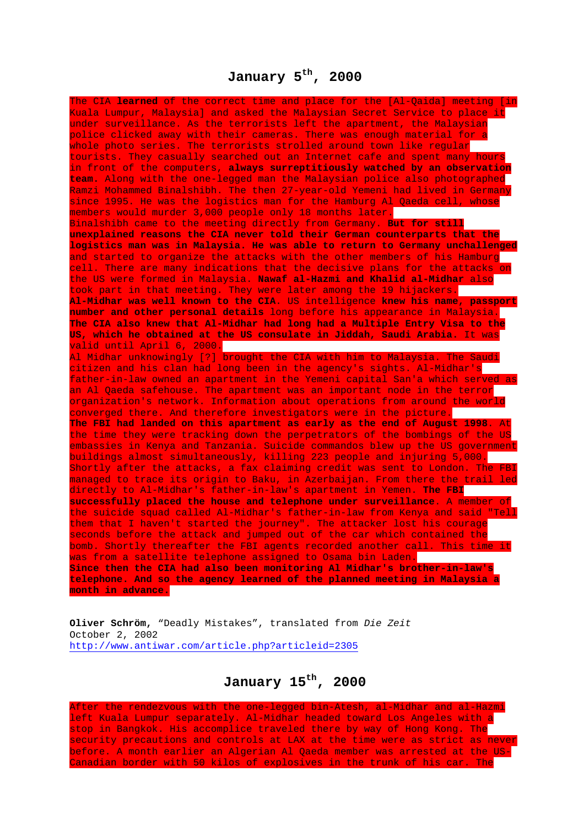**January 5th, 2000**

The CIA **learned** of the correct time and place for the [Al-Qaida] meeting [in Kuala Lumpur, Malaysia] and asked the Malaysian Secret Service to place it under surveillance. As the terrorists left the apartment, the Malaysian police clicked away with their cameras. There was enough material for a whole photo series. The terrorists strolled around town like regular tourists. They casually searched out an Internet cafe and spent many hours in front of the computers, **always surreptitiously watched by an observation team.** Along with the one-legged man the Malaysian police also photographed Ramzi Mohammed Binalshibh. The then 27-year-old Yemeni had lived in Germany since 1995. He was the logistics man for the Hamburg Al Qaeda cell, whose members would murder 3,000 people only 18 months later. Binalshibh came to the meeting directly from Germany. **But for still unexplained reasons the CIA never told their German counterparts that the logistics man was in Malaysia. He was able to return to Germany unchallenged**  and started to organize the attacks with the other members of his Hamburg cell. There are many indications that the decisive plans for the attacks on the US were formed in Malaysia. **Nawaf al-Hazmi and Khalid al-Midhar** also took part in that meeting. They were later among the 19 hijackers. **Al-Midhar was well known to the CIA**. US intelligence **knew his name, passport number and other personal details** long before his appearance in Malaysia. **The CIA also knew that Al-Midhar had long had a Multiple Entry Visa to the US, which he obtained at the US consulate in Jiddah, Saudi Arabia.** It was valid until April 6, 2000. Al Midhar unknowingly [?] brought the CIA with him to Malaysia. The Saudi citizen and his clan had long been in the agency's sights. Al-Midhar's father-in-law owned an apartment in the Yemeni capital San'a which served as an Al Qaeda safehouse. The apartment was an important node in the terror organization's network. Information about operations from around the world converged there. And therefore investigators were in the picture. **The FBI had landed on this apartment as early as the end of August 1998**. At the time they were tracking down the perpetrators of the bombings of the US embassies in Kenya and Tanzania. Suicide commandos blew up the US government buildings almost simultaneously, killing 223 people and injuring 5,000. Shortly after the attacks, a fax claiming credit was sent to London. The FBI managed to trace its origin to Baku, in Azerbaijan. From there the trail led directly to Al-Midhar's father-in-law's apartment in Yemen. **The FBI successfully placed the house and telephone under surveillance**. A member of the suicide squad called Al-Midhar's father-in-law from Kenya and said "Tell them that I haven't started the journey". The attacker lost his courage seconds before the attack and jumped out of the car which contained the bomb. Shortly thereafter the FBI agents recorded another call. This time it was from a satellite telephone assigned to Osama bin Laden. **Since then the CIA had also been monitoring Al Midhar's brother-in-law's telephone. And so the agency learned of the planned meeting in Malaysia a month in advance.** 

**Oliver Schröm,** "Deadly Mistakes", translated from Die Zeit October 2, 2002 http://www.antiwar.com/article.php?articleid=2305

### **January 15th, 2000**

After the rendezvous with the one-legged bin-Atesh, al-Midhar and al-Hazmi left Kuala Lumpur separately. Al-Midhar headed toward Los Angeles with a stop in Bangkok. His accomplice traveled there by way of Hong Kong. The security precautions and controls at LAX at the time were as strict as never before. A month earlier an Algerian Al Qaeda member was arrested at the US-Canadian border with 50 kilos of explosives in the trunk of his car. The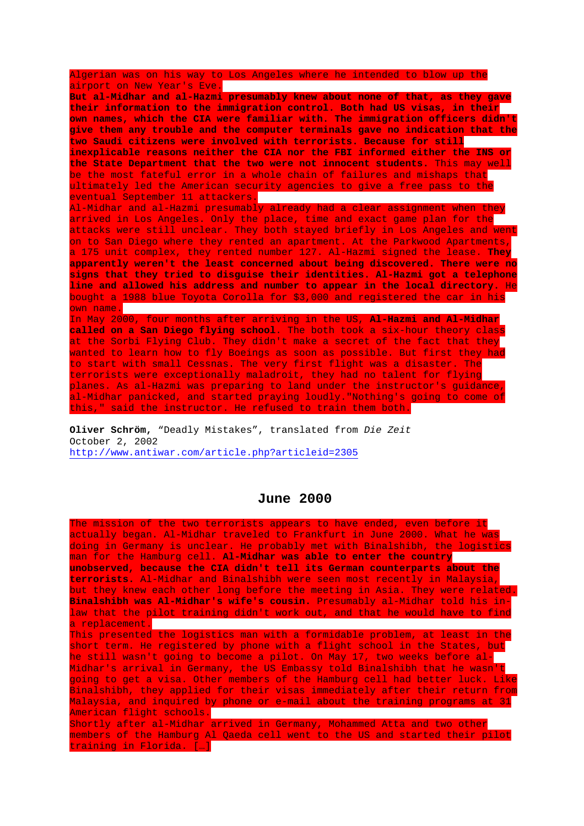

**Oliver Schröm,** "Deadly Mistakes", translated from Die Zeit October 2, 2002 http://www.antiwar.com/article.php?articleid=2305

#### **June 2000**

| The mission of the two terrorists appears to have ended, even before it      |
|------------------------------------------------------------------------------|
| actually began. Al-Midhar traveled to Frankfurt in June 2000. What he was    |
| doing in Germany is unclear. He probably met with Binalshibh, the logistics  |
| man for the Hamburg cell. Al-Midhar was able to enter the country            |
| unobserved, because the CIA didn't tell its German counterparts about the    |
| terrorists. Al-Midhar and Binalshibh were seen most recently in Malaysia,    |
| but they knew each other long before the meeting in Asia. They were related. |
| Binalshibh was Al-Midhar's wife's cousin. Presumably al-Midhar told his in-  |
| law that the pilot training didn't work out, and that he would have to find  |
| a replacement.                                                               |
| This presented the logistics man with a formidable problem, at least in the  |
| short term. He registered by phone with a flight school in the States, but   |
| he still wasn't going to become a pilot. On May 17, two weeks before al-     |
| Midhar's arrival in Germany, the US Embassy told Binalshibh that he wasn't   |
| going to get a visa. Other members of the Hamburg cell had better luck. Like |
| Binalshibh, they applied for their visas immediately after their return from |
| Malaysia, and inquired by phone or e-mail about the training programs at 31  |
| American flight schools.                                                     |
| Shortly after al-Midhar arrived in Germany, Mohammed Atta and two other      |
| members of the Hamburg Al Qaeda cell went to the US and started their pilot  |
| training in Florida. []                                                      |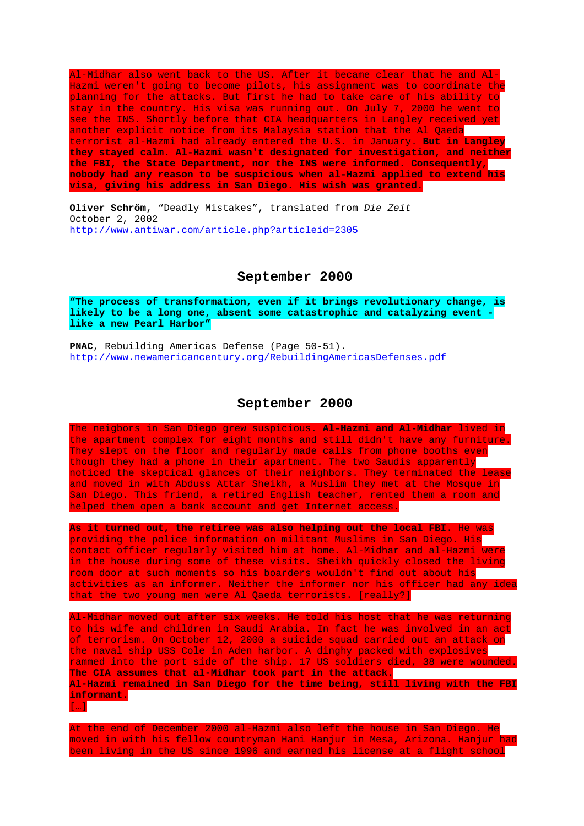Al-Midhar also went back to the US. After it became clear that he and Al-Hazmi weren't going to become pilots, his assignment was to coordinate the planning for the attacks. But first he had to take care of his ability to stay in the country. His visa was running out. On July 7, 2000 he went to see the INS. Shortly before that CIA headquarters in Langley received yet another explicit notice from its Malaysia station that the Al Qaeda terrorist al-Hazmi had already entered the U.S. in January. **But in Langley they stayed calm. Al-Hazmi wasn't designated for investigation, and neither the FBI, the State Department, nor the INS were informed. Consequently, nobody had any reason to be suspicious when al-Hazmi applied to extend his visa, giving his address in San Diego. His wish was granted.** 

**Oliver Schröm,** "Deadly Mistakes", translated from Die Zeit October 2, 2002 http://www.antiwar.com/article.php?articleid=2305

#### **September 2000**

**"The process of transformation, even if it brings revolutionary change, is likely to be a long one, absent some catastrophic and catalyzing event like a new Pearl Harbor"** 

**PNAC**, Rebuilding Americas Defense (Page 50-51). http://www.newamericancentury.org/RebuildingAmericasDefenses.pdf

#### **September 2000**

The neigbors in San Diego grew suspicious. **Al-Hazmi and Al-Midhar** lived in the apartment complex for eight months and still didn't have any furniture. They slept on the floor and regularly made calls from phone booths even though they had a phone in their apartment. The two Saudis apparently noticed the skeptical glances of their neighbors. They terminated the lease and moved in with Abduss Attar Sheikh, a Muslim they met at the Mosque in San Diego. This friend, a retired English teacher, rented them a room and helped them open a bank account and get Internet access.

**As it turned out, the retiree was also helping out the local FBI**. He was providing the police information on militant Muslims in San Diego. His contact officer regularly visited him at home. Al-Midhar and al-Hazmi were in the house during some of these visits. Sheikh quickly closed the living room door at such moments so his boarders wouldn't find out about his activities as an informer. Neither the informer nor his officer had any ide that the two young men were Al Qaeda terrorists. [really?]

Al-Midhar moved out after six weeks. He told his host that he was returning to his wife and children in Saudi Arabia. In fact he was involved in an act of terrorism. On October 12, 2000 a suicide squad carried out an attack on the naval ship USS Cole in Aden harbor. A dinghy packed with explosives rammed into the port side of the ship. 17 US soldiers died, 38 were wounded. **The CIA assumes that al-Midhar took part in the attack. Al-Hazmi remained in San Diego for the time being, still living with the FBI informant.**  $\lceil$  ...  $\rceil$ 

At the end of December 2000 al-Hazmi also left the house in San Diego. He moved in with his fellow countryman Hani Hanjur in Mesa, Arizona. Hanjur had been living in the US since 1996 and earned his license at a flight school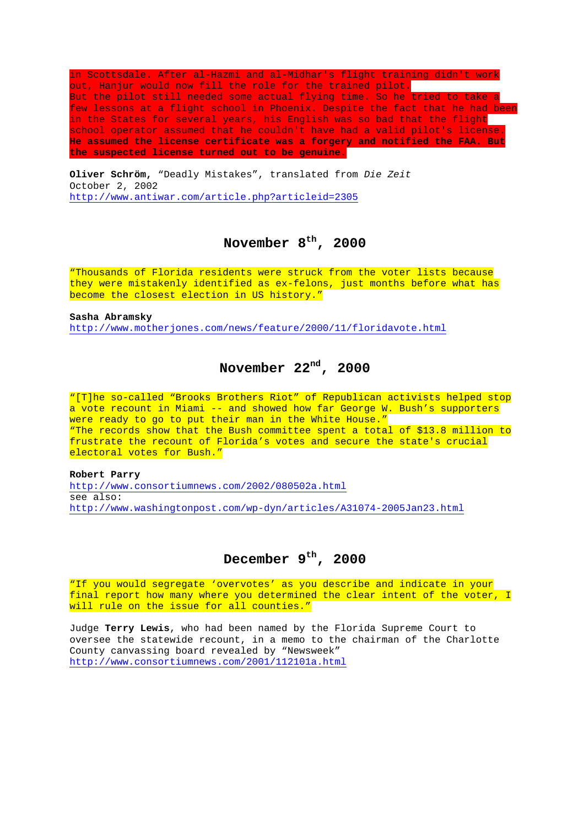in Scottsdale. After al-Hazmi and al-Midhar's flight training didn't work out, Hanjur would now fill the role for the trained pilot. But the pilot still needed some actual flying time. So he tried to take a few lessons at a flight school in Phoenix. Despite the fact that he had been in the States for several years, his English was so bad that the flight school operator assumed that he couldn't have had a valid pilot's license. **He assumed the license certificate was a forgery and notified the FAA. But the suspected license turned out to be genuine**.

**Oliver Schröm,** "Deadly Mistakes", translated from Die Zeit October 2, 2002 http://www.antiwar.com/article.php?articleid=2305

### **November 8th, 2000**

"Thousands of Florida residents were struck from the voter lists because they were mistakenly identified as ex-felons, just months before what has become the closest election in US history."

#### **Sasha Abramsky**

http://www.motherjones.com/news/feature/2000/11/floridavote.html

#### **November 22nd, 2000**

"[T]he so-called "Brooks Brothers Riot" of Republican activists helped stop a vote recount in Miami -- and showed how far George W. Bush's supporters were ready to go to put their man in the White House." "The records show that the Bush committee spent a total of \$13.8 million to frustrate the recount of Florida's votes and secure the state's crucial electoral votes for Bush."

**Robert Parry**  http://www.consortiumnews.com/2002/080502a.html see also: http://www.washingtonpost.com/wp-dyn/articles/A31074-2005Jan23.html

## **December 9th, 2000**

"If you would segregate 'overvotes' as you describe and indicate in your final report how many where you determined the clear intent of the voter, I will rule on the issue for all counties."

Judge **Terry Lewis**, who had been named by the Florida Supreme Court to oversee the statewide recount, in a memo to the chairman of the Charlotte County canvassing board revealed by "Newsweek" http://www.consortiumnews.com/2001/112101a.html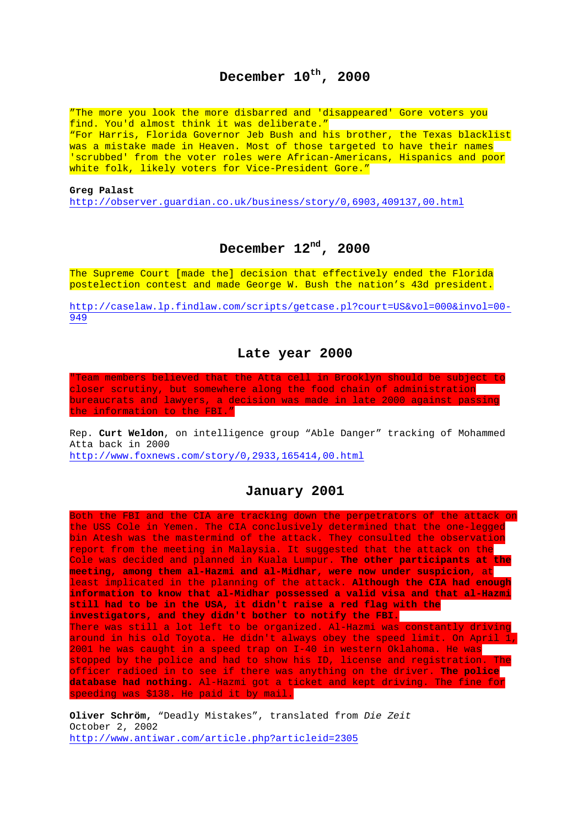### **December 10th, 2000**

"The more you look the more disbarred and 'disappeared' Gore voters you find. You'd almost think it was deliberate." "For Harris, Florida Governor Jeb Bush and his brother, the Texas blacklist was a mistake made in Heaven. Most of those targeted to have their names 'scrubbed' from the voter roles were African-Americans, Hispanics and poor white folk, likely voters for Vice-President Gore."

**Greg Palast**  http://observer.guardian.co.uk/business/story/0,6903,409137,00.html

#### **December 12nd, 2000**

The Supreme Court [made the] decision that effectively ended the Florida postelection contest and made George W. Bush the nation's 43d president.

http://caselaw.lp.findlaw.com/scripts/getcase.pl?court=US&vol=000&invol=00- 949

#### **Late year 2000**

Team members believed that the Atta cell in Brooklyn should be subject to closer scrutiny, but somewhere along the food chain of administration bureaucrats and lawyers, a decision was made in late 2000 against passing the information to the FBI."

Rep. **Curt Weldon**, on intelligence group "Able Danger" tracking of Mohammed Atta back in 2000

http://www.foxnews.com/story/0,2933,165414,00.html

#### **January 2001**

Both the FBI and the CIA are tracking down the perpetrators of the attack on the USS Cole in Yemen. The CIA conclusively determined that the one-legged bin Atesh was the mastermind of the attack. They consulted the observation report from the meeting in Malaysia. It suggested that the attack on the Cole was decided and planned in Kuala Lumpur. **The other participants at the meeting, among them al-Hazmi and al-Midhar, were now under suspicion**, at least implicated in the planning of the attack. **Although the CIA had enough information to know that al-Midhar possessed a valid visa and that al-Hazmi still had to be in the USA, it didn't raise a red flag with the investigators, and they didn't bother to notify the FBI.**  There was still a lot left to be organized. Al-Hazmi was constantly driving around in his old Toyota. He didn't always obey the speed limit. On April 1, 2001 he was caught in a speed trap on I-40 in western Oklahoma. He was stopped by the police and had to show his ID, license and registration. The officer radioed in to see if there was anything on the driver. **The police database had nothing.** Al-Hazmi got a ticket and kept driving. The fine for speeding was \$138. He paid it by mail.

**Oliver Schröm,** "Deadly Mistakes", translated from Die Zeit October 2, 2002 http://www.antiwar.com/article.php?articleid=2305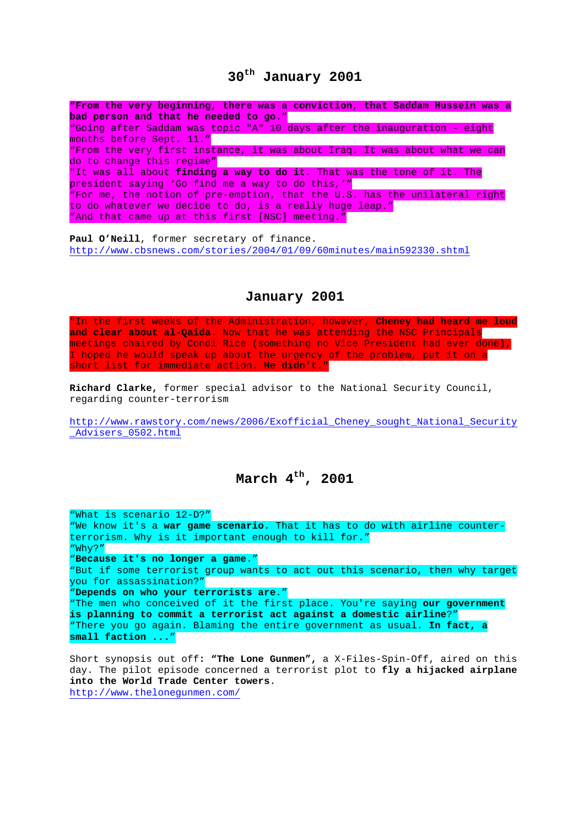**30th January 2001** 

"**From the very beginning, there was a conviction, that Saddam Hussein was a bad person and that he needed to go**." "Going after Saddam was topic "A" 10 days after the inauguration - eight months before Sept. 11." "From the very first instance, it was about Iraq. It was about what we can do to change this regime" "It was all about **finding a way to do it**. That was the tone of it. The president saying 'Go find me a way to do this,'" "For me, the notion of pre-emption, that the U.S. has the unilateral right to do whatever we decide to do, is a really huge leap." "And that came up at this first [NSC] meeting."

Paul O'Neill, former secretary of finance. http://www.cbsnews.com/stories/2004/01/09/60minutes/main592330.shtml

#### **January 2001**

"In the first weeks of the Administration, however, **Cheney had heard me loud and clear about al-Qaida**. Now that he was attending the NSC Principals meetings chaired by Condi Rice (something no Vice President had ever done), I hoped he would speak up about the urgency of the problem, put it on a short list for immediate action. **He didn't."** 

**Richard Clarke,** former special advisor to the National Security Council, regarding counter-terrorism

http://www.rawstory.com/news/2006/Exofficial\_Cheney\_sought\_National\_Security Advisers 0502.html

### **March 4th, 2001**

"What is scenario 12-D?" "We know it's a **war game scenario**. That it has to do with airline counterterrorism. Why is it important enough to kill for." "Why?" "**Because it's no longer a game**." "But if some terrorist group wants to act out this scenario, then why target you for assassination?" "**Depends on who your terrorists are**." "The men who conceived of it the first place. You're saying **our government is planning to commit a terrorist act against a domestic airline**?" "There you go again. Blaming the entire government as usual. **In fact, a small faction ...**"

Short synopsis out off**: "The Lone Gunmen",** a X-Files-Spin-Off, aired on this day. The pilot episode concerned a terrorist plot to **fly a hijacked airplane into the World Trade Center towers**. http://www.thelonegunmen.com/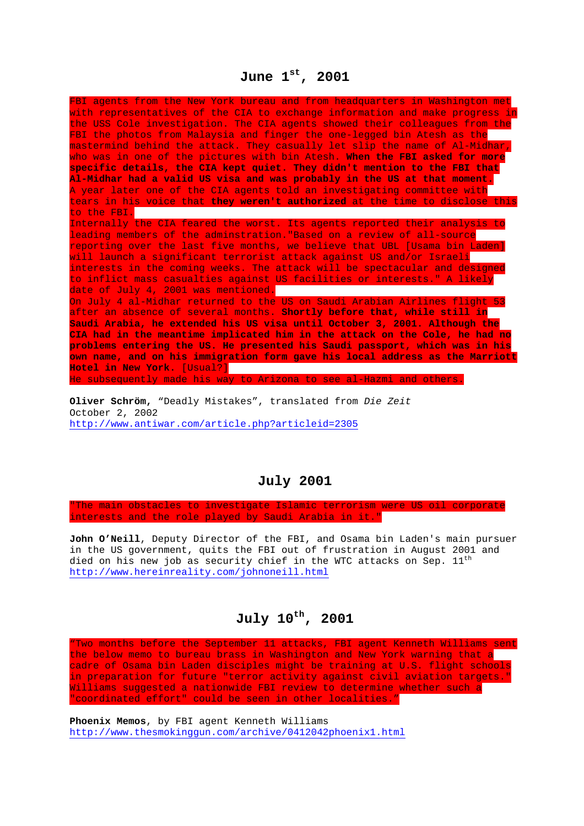**June 1st, 2001**



**Oliver Schröm,** "Deadly Mistakes", translated from Die Zeit October 2, 2002 http://www.antiwar.com/article.php?articleid=2305

#### **July 2001**

The main obstacles to investigate Islamic terrorism were US oil corporate interests and the role played by Saudi Arabia in it."

**John O'Neill**, Deputy Director of the FBI, and Osama bin Laden's main pursuer in the US government, quits the FBI out of frustration in August 2001 and died on his new job as security chief in the WTC attacks on Sep.  $11<sup>th</sup>$ http://www.hereinreality.com/johnoneill.html

### **July 10th, 2001**

Two months before the September 11 attacks, FBI agent Kenneth Williams sent the below memo to bureau brass in Washington and New York warning that a cadre of Osama bin Laden disciples might be training at U.S. flight schools in preparation for future "terror activity against civil aviation targets.' Williams suggested a nationwide FBI review to determine whether such a "coordinated effort" could be seen in other localities."

**Phoenix Memos**, by FBI agent Kenneth Williams http://www.thesmokinggun.com/archive/0412042phoenix1.html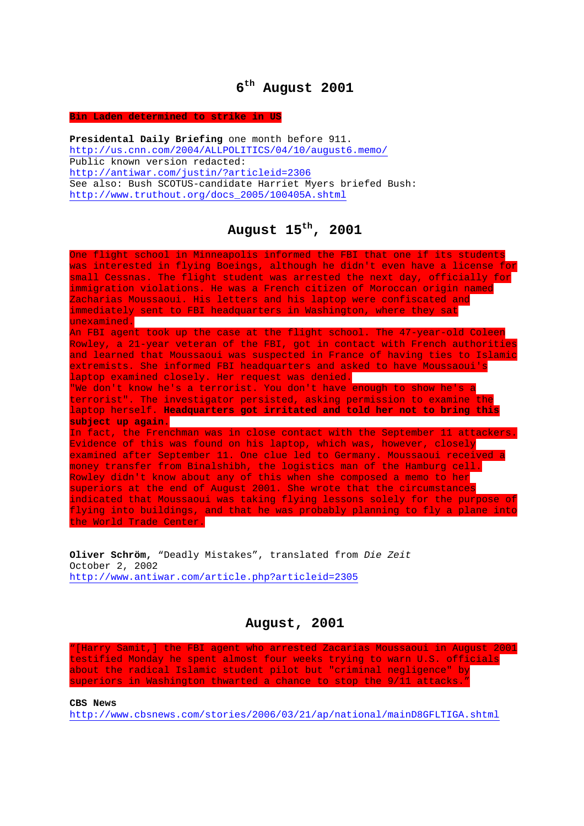## **6 th August 2001**

**Bin Laden determined to strike in US** 

**Presidental Daily Briefing** one month before 911. http://us.cnn.com/2004/ALLPOLITICS/04/10/august6.memo/ Public known version redacted: http://antiwar.com/justin/?articleid=2306 See also: Bush SCOTUS-candidate Harriet Myers briefed Bush: http://www.truthout.org/docs\_2005/100405A.shtml

**August 15th, 2001**



**Oliver Schröm,** "Deadly Mistakes", translated from Die Zeit October 2, 2002 http://www.antiwar.com/article.php?articleid=2305

**August, 2001** 

"[Harry Samit,] the FBI agent who arrested Zacarias Moussaoui in August 2001 testified Monday he spent almost four weeks trying to warn U.S. officials about the radical Islamic student pilot but "criminal negligence" by superiors in Washington thwarted a chance to stop the  $9/11$  attacks.

**CBS News** 

http://www.cbsnews.com/stories/2006/03/21/ap/national/mainD8GFLTIGA.shtml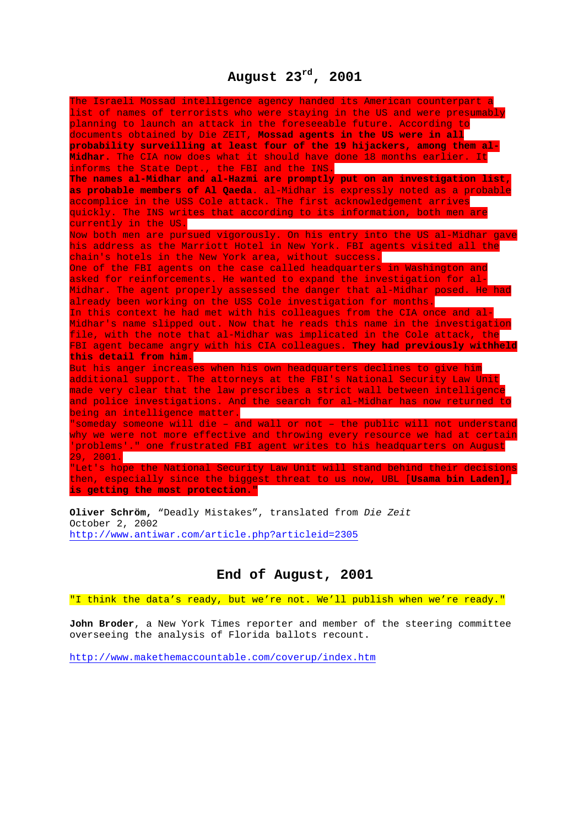**August 23rd, 2001**



**Oliver Schröm,** "Deadly Mistakes", translated from Die Zeit October 2, 2002 http://www.antiwar.com/article.php?articleid=2305

#### **End of August, 2001**

"I think the data's ready, but we're not. We'll publish when we're ready."

**John Broder**, a New York Times reporter and member of the steering committee overseeing the analysis of Florida ballots recount.

http://www.makethemaccountable.com/coverup/index.htm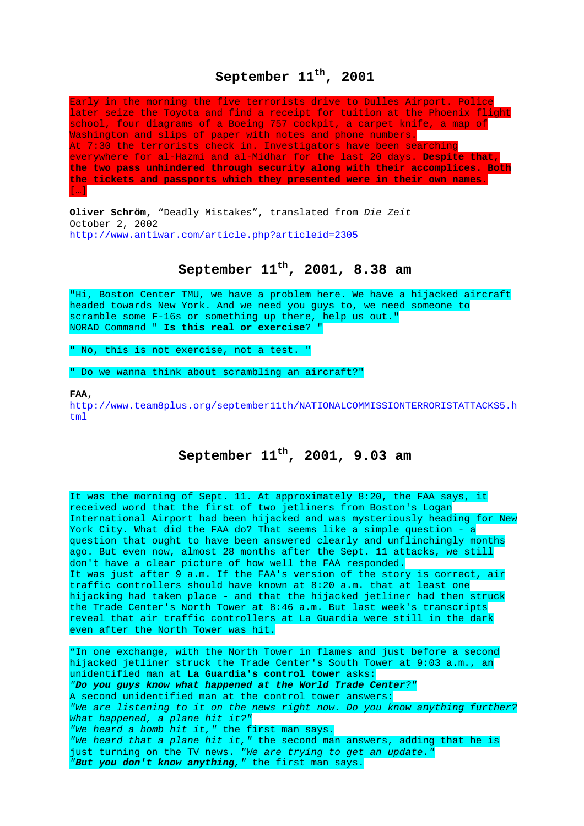## **September 11th, 2001**

Early in the morning the five terrorists drive to Dulles Airport. Police later seize the Toyota and find a receipt for tuition at the Phoenix flight school, four diagrams of a Boeing 757 cockpit, a carpet knife, a map of Washington and slips of paper with notes and phone numbers. At 7:30 the terrorists check in. Investigators have been searching everywhere for al-Hazmi and al-Midhar for the last 20 days. **Despite that, the two pass unhindered through security along with their accomplices. Both the tickets and passports which they presented were in their own names**. […]

**Oliver Schröm,** "Deadly Mistakes", translated from Die Zeit October 2, 2002 http://www.antiwar.com/article.php?articleid=2305

### **September 11th, 2001, 8.38 am**

"Hi, Boston Center TMU, we have a problem here. We have a hijacked aircraft headed towards New York. And we need you guys to, we need someone to scramble some F-16s or something up there, help us out." NORAD Command " **Is this real or exercise**? "

" No, this is not exercise, not a test. "

" Do we wanna think about scrambling an aircraft?"

#### **FAA**,

http://www.team8plus.org/september11th/NATIONALCOMMISSIONTERRORISTATTACKS5.h tml

### **September 11th, 2001, 9.03 am**

It was the morning of Sept. 11. At approximately 8:20, the FAA says, it received word that the first of two jetliners from Boston's Logan International Airport had been hijacked and was mysteriously heading for New York City. What did the FAA do? That seems like a simple question - a question that ought to have been answered clearly and unflinchingly months ago. But even now, almost 28 months after the Sept. 11 attacks, we still don't have a clear picture of how well the FAA responded. It was just after 9 a.m. If the FAA's version of the story is correct, air traffic controllers should have known at 8:20 a.m. that at least one hijacking had taken place - and that the hijacked jetliner had then struck the Trade Center's North Tower at 8:46 a.m. But last week's transcripts reveal that air traffic controllers at La Guardia were still in the dark even after the North Tower was hit.

"In one exchange, with the North Tower in flames and just before a second hijacked jetliner struck the Trade Center's South Tower at 9:03 a.m., an unidentified man at **La Guardia's control tower** asks: "**Do you guys know what happened at the World Trade Center**?" A second unidentified man at the control tower answers: "We are listening to it on the news right now. Do you know anything further? What happened, a plane hit it?" "We heard a bomb hit it," the first man says. "We heard that a plane hit it," the second man answers, adding that he is just turning on the TV news. "We are trying to get an update." "**But you don't know anything**," the first man says.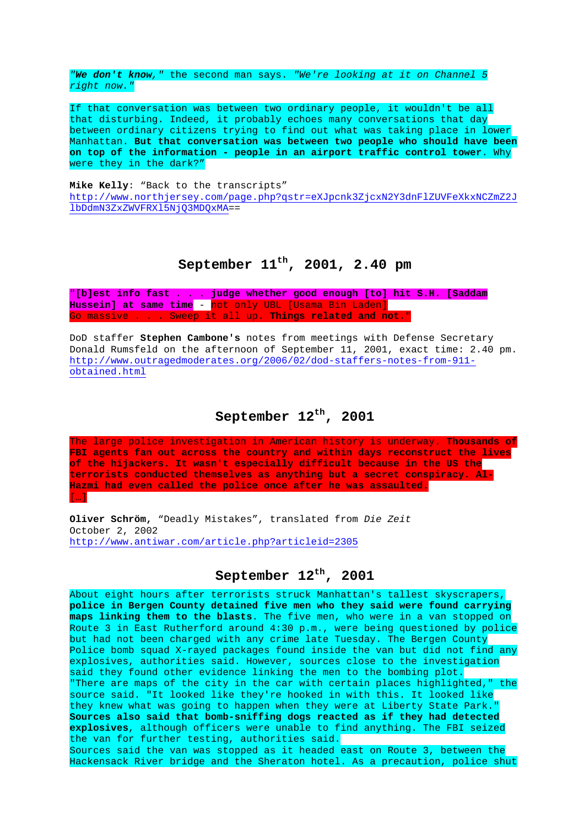"**We don't know**," the second man says. "We're looking at it on Channel 5 right now."

If that conversation was between two ordinary people, it wouldn't be all that disturbing. Indeed, it probably echoes many conversations that day between ordinary citizens trying to find out what was taking place in lower Manhattan. **But that conversation was between two people who should have been on top of the information - people in an airport traffic control tower**. Why were they in the dark?"

**Mike Kelly**: "Back to the transcripts" http://www.northjersey.com/page.php?qstr=eXJpcnk3ZjcxN2Y3dnFlZUVFeXkxNCZmZ2J lbDdmN3ZxZWVFRXl5NjQ3MDQxMA==

## **September 11th, 2001, 2.40 pm**

"**[b]est info fast** . . . **judge whether good enough [to] hit S.H. [Saddam Hussein] at same time** - not only UBL [Usama Bin Laden] Go massive . . . Sweep it all up. **Things related and not**."

DoD staffer **Stephen Cambone's** notes from meetings with Defense Secretary Donald Rumsfeld on the afternoon of September 11, 2001, exact time: 2.40 pm. http://www.outragedmoderates.org/2006/02/dod-staffers-notes-from-911 obtained.html

## **September 12th, 2001**

The large police investigation in American history is underway. **Thousands of FBI agents fan out across the country and within days reconstruct the lives of the hijackers. It wasn't especially difficult because in the US the terrorists conducted themselves as anything but a secret conspiracy. Al-Hazmi had even called the police once after he was assaulted.** […]

**Oliver Schröm,** "Deadly Mistakes", translated from Die Zeit October 2, 2002 http://www.antiwar.com/article.php?articleid=2305

### **September 12th, 2001**

About eight hours after terrorists struck Manhattan's tallest skyscrapers, **police in Bergen County detained five men who they said were found carrying maps linking them to the blasts**. The five men, who were in a van stopped on Route 3 in East Rutherford around 4:30 p.m., were being questioned by police but had not been charged with any crime late Tuesday. The Bergen County Police bomb squad X-rayed packages found inside the van but did not find any explosives, authorities said. However, sources close to the investigation said they found other evidence linking the men to the bombing plot. "There are maps of the city in the car with certain places highlighted," the source said. "It looked like they're hooked in with this. It looked like they knew what was going to happen when they were at Liberty State Park." **Sources also said that bomb-sniffing dogs reacted as if they had detected explosives**, although officers were unable to find anything. The FBI seized the van for further testing, authorities said. Sources said the van was stopped as it headed east on Route 3, between the Hackensack River bridge and the Sheraton hotel. As a precaution, police shut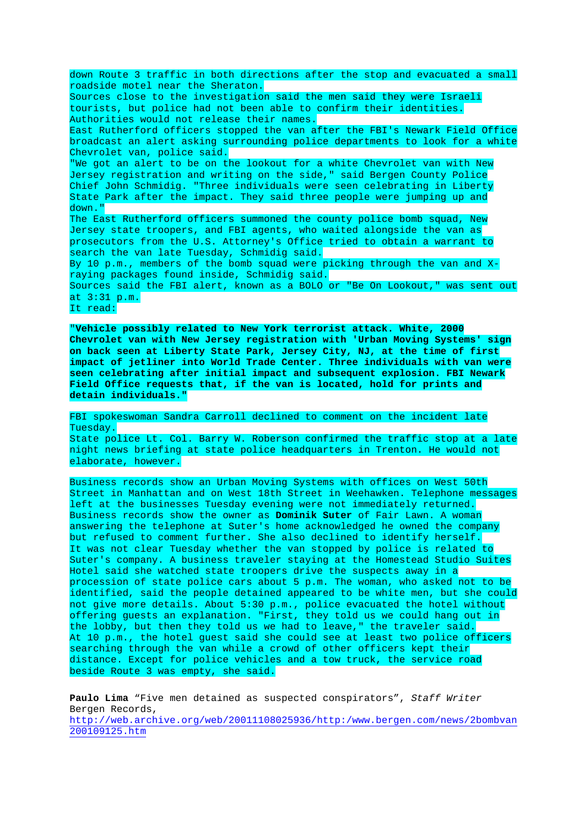down Route 3 traffic in both directions after the stop and evacuated a small roadside motel near the Sheraton. Sources close to the investigation said the men said they were Israeli tourists, but police had not been able to confirm their identities. Authorities would not release their names. East Rutherford officers stopped the van after the FBI's Newark Field Office broadcast an alert asking surrounding police departments to look for a white Chevrolet van, police said. "We got an alert to be on the lookout for a white Chevrolet van with New Jersey registration and writing on the side," said Bergen County Police Chief John Schmidig. "Three individuals were seen celebrating in Liberty State Park after the impact. They said three people were jumping up and down." The East Rutherford officers summoned the county police bomb squad, New Jersey state troopers, and FBI agents, who waited alongside the van as prosecutors from the U.S. Attorney's Office tried to obtain a warrant to search the van late Tuesday, Schmidig said. By 10 p.m., members of the bomb squad were picking through the van and Xraying packages found inside, Schmidig said. Sources said the FBI alert, known as a BOLO or "Be On Lookout," was sent out at 3:31 p.m. It read:

"**Vehicle possibly related to New York terrorist attack. White, 2000 Chevrolet van with New Jersey registration with 'Urban Moving Systems' sign on back seen at Liberty State Park, Jersey City, NJ, at the time of first impact of jetliner into World Trade Center. Three individuals with van were seen celebrating after initial impact and subsequent explosion. FBI Newark Field Office requests that, if the van is located, hold for prints and detain individuals."**

FBI spokeswoman Sandra Carroll declined to comment on the incident late Tuesday. State police Lt. Col. Barry W. Roberson confirmed the traffic stop at a late night news briefing at state police headquarters in Trenton. He would not elaborate, however.

Business records show an Urban Moving Systems with offices on West 50th Street in Manhattan and on West 18th Street in Weehawken. Telephone messages left at the businesses Tuesday evening were not immediately returned. Business records show the owner as **Dominik Suter** of Fair Lawn. A woman answering the telephone at Suter's home acknowledged he owned the company but refused to comment further. She also declined to identify herself. It was not clear Tuesday whether the van stopped by police is related to Suter's company. A business traveler staying at the Homestead Studio Suites Hotel said she watched state troopers drive the suspects away in a procession of state police cars about 5 p.m. The woman, who asked not to be identified, said the people detained appeared to be white men, but she could not give more details. About 5:30 p.m., police evacuated the hotel without offering guests an explanation. "First, they told us we could hang out in the lobby, but then they told us we had to leave," the traveler said. At 10 p.m., the hotel guest said she could see at least two police officers searching through the van while a crowd of other officers kept their distance. Except for police vehicles and a tow truck, the service road beside Route 3 was empty, she said.

**Paulo Lima** "Five men detained as suspected conspirators", Staff Writer Bergen Records, http://web.archive.org/web/20011108025936/http:/www.bergen.com/news/2bombvan 200109125.htm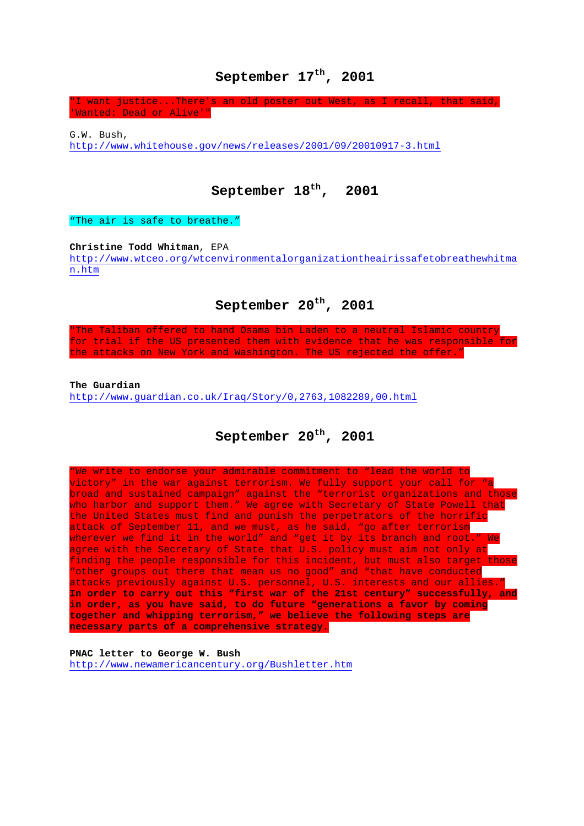## **September 17th, 2001**

"I want justice...There's an old poster out West, as I recall, that said, 'Wanted: Dead or Alive'"

G.W. Bush,

http://www.whitehouse.gov/news/releases/2001/09/20010917-3.html

#### **September 18th, 2001**

"The air is safe to breathe."

**Christine Todd Whitman**, EPA http://www.wtceo.org/wtcenvironmentalorganizationtheairissafetobreathewhitma n.htm

### **September 20th, 2001**

The Taliban offered to hand Osama bin Laden to a neutral Islamic country for trial if the US presented them with evidence that he was responsible for the attacks on New York and Washington. The US rejected the offer."

**The Guardian**  http://www.guardian.co.uk/Iraq/Story/0,2763,1082289,00.html

## **September 20th, 2001**

"We write to endorse your admirable commitment to "lead the world to victory" in the war against terrorism. We fully support your call for "a broad and sustained campaign" against the "terrorist organizations and those who harbor and support them." We agree with Secretary of State Powell that the United States must find and punish the perpetrators of the horrific attack of September 11, and we must, as he said, "go after terrorism wherever we find it in the world" and "get it by its branch and root." We agree with the Secretary of State that U.S. policy must aim not only at finding the people responsible for this incident, but must also target those "other groups out there that mean us no good" and "that have conducted attacks previously against U.S. personnel, U.S. interests and our allies. **In order to carry out this "first war of the 21st century" successfully, and in order, as you have said, to do future "generations a favor by coming together and whipping terrorism," we believe the following steps are necessary parts of a comprehensive strategy.** 

**PNAC letter to George W. Bush**  http://www.newamericancentury.org/Bushletter.htm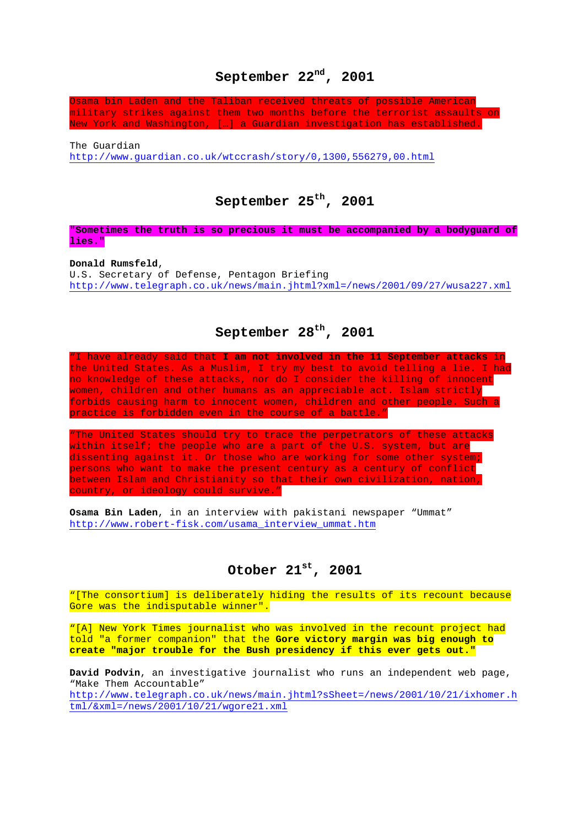### **September 22nd, 2001**

Osama bin Laden and the Taliban received threats of possible American military strikes against them two months before the terrorist assaults on New York and Washington, […] a Guardian investigation has established.

The Guardian http://www.guardian.co.uk/wtccrash/story/0,1300,556279,00.html

## **September 25th, 2001**

"**Sometimes the truth is so precious it must be accompanied by a bodyguard of lies**."

**Donald Rumsfeld**, U.S. Secretary of Defense, Pentagon Briefing http://www.telegraph.co.uk/news/main.jhtml?xml=/news/2001/09/27/wusa227.xml

### **September 28th, 2001**

I have already said that I am not involved in the 11 September attacks in the United States. As a Muslim, I try my best to avoid telling a lie. I had no knowledge of these attacks, nor do I consider the killing of innocent women, children and other humans as an appreciable act. Islam strictly forbids causing harm to innocent women, children and other people. Such practice is forbidden even in the course of a battle."

The United States should try to trace the perpetrators of these attacks within itself; the people who are a part of the U.S. system, but are dissenting against it. Or those who are working for some other system; persons who want to make the present century as a century of conflict between Islam and Christianity so that their own civilization, nation, country, or ideology could survive."

**Osama Bin Laden**, in an interview with pakistani newspaper "Ummat" http://www.robert-fisk.com/usama\_interview\_ummat.htm

## **Otober 21st, 2001**

"[The consortium] is deliberately hiding the results of its recount because Gore was the indisputable winner".

"[A] New York Times journalist who was involved in the recount project had told "a former companion" that the **Gore victory margin was big enough to create "major trouble for the Bush presidency if this ever gets out."** 

**David Podvin**, an investigative journalist who runs an independent web page, "Make Them Accountable" http://www.telegraph.co.uk/news/main.jhtml?sSheet=/news/2001/10/21/ixhomer.h tml/&xml=/news/2001/10/21/wgore21.xml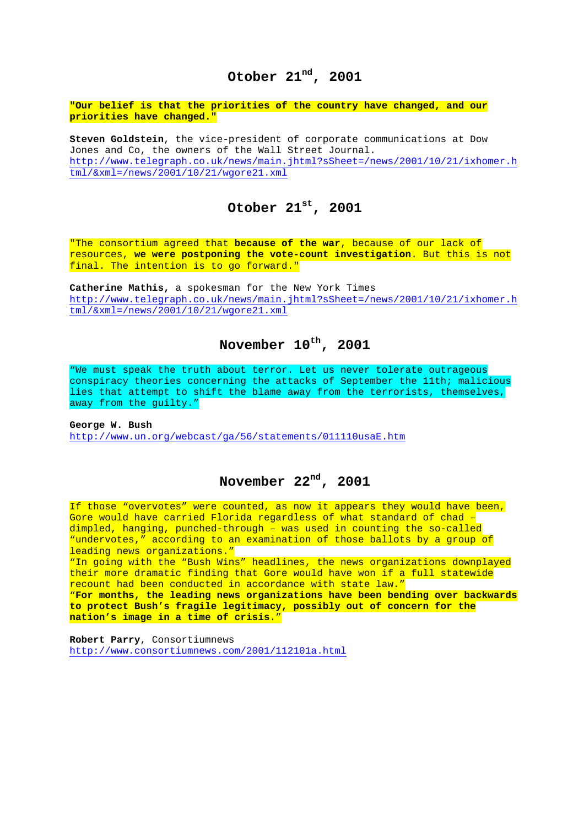### **Otober 21nd, 2001**

**"Our belief is that the priorities of the country have changed, and our priorities have changed."** 

**Steven Goldstein**, the vice-president of corporate communications at Dow Jones and Co, the owners of the Wall Street Journal. http://www.telegraph.co.uk/news/main.jhtml?sSheet=/news/2001/10/21/ixhomer.h tml/&xml=/news/2001/10/21/wgore21.xml

### **Otober 21st, 2001**

"The consortium agreed that **because of the war**, because of our lack of resources, **we were postponing the vote-count investigation**. But this is not final. The intention is to go forward."

**Catherine Mathis,** a spokesman for the New York Times http://www.telegraph.co.uk/news/main.jhtml?sSheet=/news/2001/10/21/ixhomer.h tml/&xml=/news/2001/10/21/wgore21.xml Ī

#### **November 10th, 2001**

"We must speak the truth about terror. Let us never tolerate outrageous conspiracy theories concerning the attacks of September the 11th; malicious lies that attempt to shift the blame away from the terrorists, themselves, away from the guilty."

**George W. Bush**  http://www.un.org/webcast/ga/56/statements/011110usaE.htm

### **November 22nd, 2001**

If those "overvotes" were counted, as now it appears they would have been, Gore would have carried Florida regardless of what standard of chad – dimpled, hanging, punched-through – was used in counting the so-called "undervotes," according to an examination of those ballots by a group of leading news organizations." "In going with the "Bush Wins" headlines, the news organizations downplayed their more dramatic finding that Gore would have won if a full statewide recount had been conducted in accordance with state law." "**For months, the leading news organizations have been bending over backwards to protect Bush's fragile legitimacy, possibly out of concern for the nation's image in a time of crisis**."

**Robert Parry**, Consortiumnews http://www.consortiumnews.com/2001/112101a.html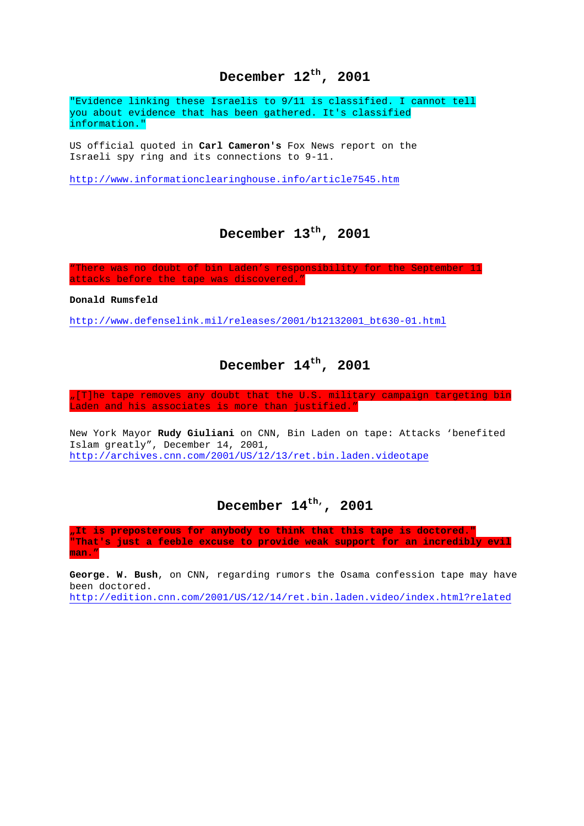## **December 12th, 2001**

"Evidence linking these Israelis to 9/11 is classified. I cannot tell you about evidence that has been gathered. It's classified information."

US official quoted in **Carl Cameron's** Fox News report on the Israeli spy ring and its connections to 9-11.

http://www.informationclearinghouse.info/article7545.htm

## **December 13th, 2001**

"There was no doubt of bin Laden's responsibility for the September 11 attacks before the tape was discovered."

**Donald Rumsfeld** 

http://www.defenselink.mil/releases/2001/b12132001\_bt630-01.html

### **December 14th, 2001**

"[T]he tape removes any doubt that the U.S. military campaign targeting bin Laden and his associates is more than justified."

New York Mayor **Rudy Giuliani** on CNN, Bin Laden on tape: Attacks 'benefited Islam greatly", December 14, 2001, http://archives.cnn.com/2001/US/12/13/ret.bin.laden.videotape

## **December 14th,, 2001**

**"It is preposterous for anybody to think that this tape is doctored." "That's just a feeble excuse to provide weak support for an incredibly evil man."** 

**George. W. Bush**, on CNN, regarding rumors the Osama confession tape may have been doctored.

http://edition.cnn.com/2001/US/12/14/ret.bin.laden.video/index.html?related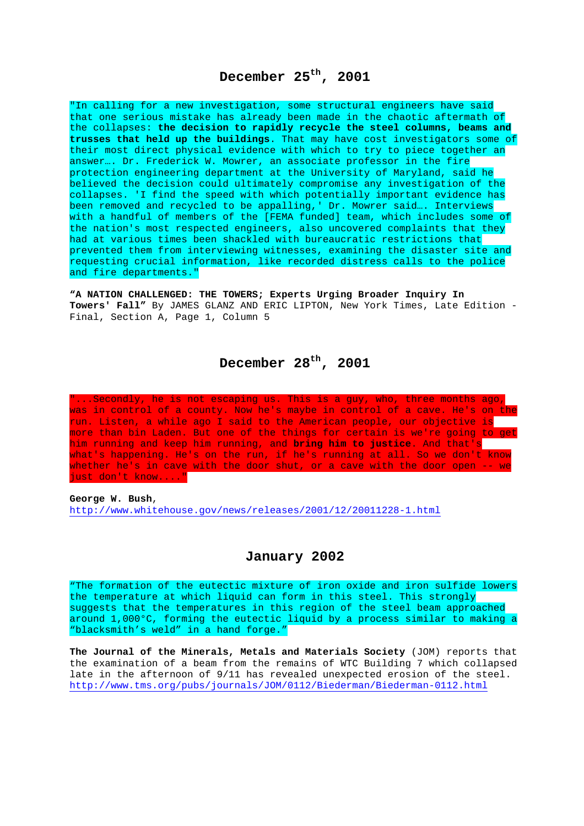#### **December 25th, 2001**

"In calling for a new investigation, some structural engineers have said that one serious mistake has already been made in the chaotic aftermath of the collapses: **the decision to rapidly recycle the steel columns, beams and trusses that held up the buildings**. That may have cost investigators some of their most direct physical evidence with which to try to piece together an answer…. Dr. Frederick W. Mowrer, an associate professor in the fire protection engineering department at the University of Maryland, said he believed the decision could ultimately compromise any investigation of the collapses. 'I find the speed with which potentially important evidence has been removed and recycled to be appalling,' Dr. Mowrer said…. Interviews with a handful of members of the [FEMA funded] team, which includes some of the nation's most respected engineers, also uncovered complaints that they had at various times been shackled with bureaucratic restrictions that prevented them from interviewing witnesses, examining the disaster site and requesting crucial information, like recorded distress calls to the police and fire departments."

**"A NATION CHALLENGED: THE TOWERS; Experts Urging Broader Inquiry In Towers' Fall"** By JAMES GLANZ AND ERIC LIPTON, New York Times, Late Edition - Final, Section A, Page 1, Column 5

#### **December 28th, 2001**

"...Secondly, he is not escaping us. This is a guy, who, three months ago, was in control of a county. Now he's maybe in control of a cave. He's on the run. Listen, a while ago I said to the American people, our objective is more than bin Laden. But one of the things for certain is we're going to get him running and keep him running, and **bring him to justice**. And that's what's happening. He's on the run, if he's running at all. So we don't know whether he's in cave with the door shut, or a cave with the door open -- we just don't know...."

**George W. Bush**, http://www.whitehouse.gov/news/releases/2001/12/20011228-1.html

#### **January 2002**

"The formation of the eutectic mixture of iron oxide and iron sulfide lowers the temperature at which liquid can form in this steel. This strongly suggests that the temperatures in this region of the steel beam approached around 1,000°C, forming the eutectic liquid by a process similar to making a "blacksmith's weld" in a hand forge."

**The Journal of the Minerals, Metals and Materials Society** (JOM) reports that the examination of a beam from the remains of WTC Building 7 which collapsed late in the afternoon of 9/11 has revealed unexpected erosion of the steel. http://www.tms.org/pubs/journals/JOM/0112/Biederman/Biederman-0112.html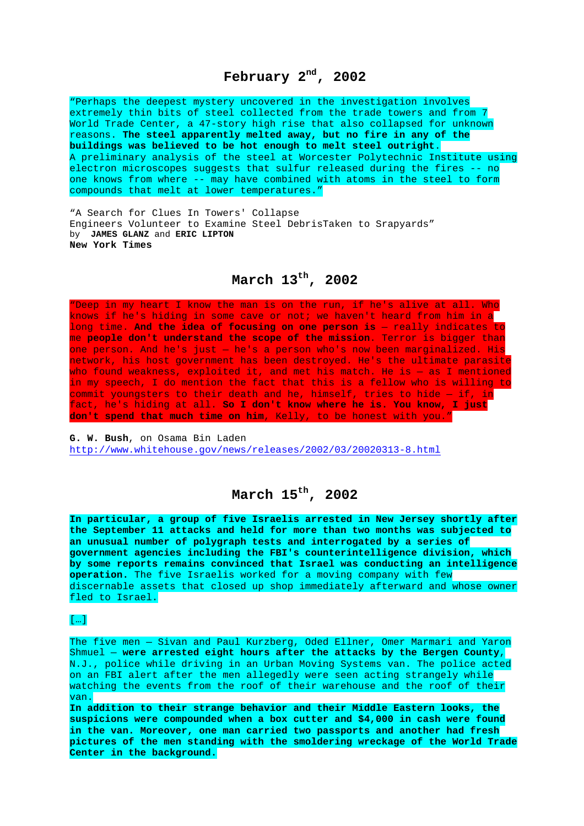#### **February 2nd, 2002**

"Perhaps the deepest mystery uncovered in the investigation involves extremely thin bits of steel collected from the trade towers and from 7 World Trade Center, a 47-story high rise that also collapsed for unknown reasons. **The steel apparently melted away, but no fire in any of the buildings was believed to be hot enough to melt steel outright**. A preliminary analysis of the steel at Worcester Polytechnic Institute using electron microscopes suggests that sulfur released during the fires -- no one knows from where -- may have combined with atoms in the steel to form compounds that melt at lower temperatures."

"A Search for Clues In Towers' Collapse Engineers Volunteer to Examine Steel DebrisTaken to Srapyards" by **JAMES GLANZ** and **ERIC LIPTON New York Times** 

## **March 13th, 2002**

"Deep in my heart I know the man is on the run, if he's alive at all. Who knows if he's hiding in some cave or not; we haven't heard from him in a long time. **And the idea of focusing on one person is** — really indicates to me **people don't understand the scope of the mission**. Terror is bigger than one person. And he's just — he's a person who's now been marginalized. His network, his host government has been destroyed. He's the ultimate parasite who found weakness, exploited it, and met his match. He is — as I mentioned in my speech, I do mention the fact that this is a fellow who is willing to commit youngsters to their death and he, himself, tries to hide — if, in fact, he's hiding at all. **So I don't know where he is. You know, I just don't spend that much time on him**, Kelly, to be honest with you."

**G. W. Bush**, on Osama Bin Laden http://www.whitehouse.gov/news/releases/2002/03/20020313-8.html

## **March 15th, 2002**

**In particular, a group of five Israelis arrested in New Jersey shortly after the September 11 attacks and held for more than two months was subjected to an unusual number of polygraph tests and interrogated by a series of government agencies including the FBI's counterintelligence division, which by some reports remains convinced that Israel was conducting an intelligence operation.** The five Israelis worked for a moving company with few discernable assets that closed up shop immediately afterward and whose owner fled to Israel.

#### […]

The five men — Sivan and Paul Kurzberg, Oded Ellner, Omer Marmari and Yaron Shmuel — **were arrested eight hours after the attacks by the Bergen County**, N.J., police while driving in an Urban Moving Systems van. The police acted on an FBI alert after the men allegedly were seen acting strangely while watching the events from the roof of their warehouse and the roof of their van.

**In addition to their strange behavior and their Middle Eastern looks, the suspicions were compounded when a box cutter and \$4,000 in cash were found in the van. Moreover, one man carried two passports and another had fresh pictures of the men standing with the smoldering wreckage of the World Trade Center in the background.**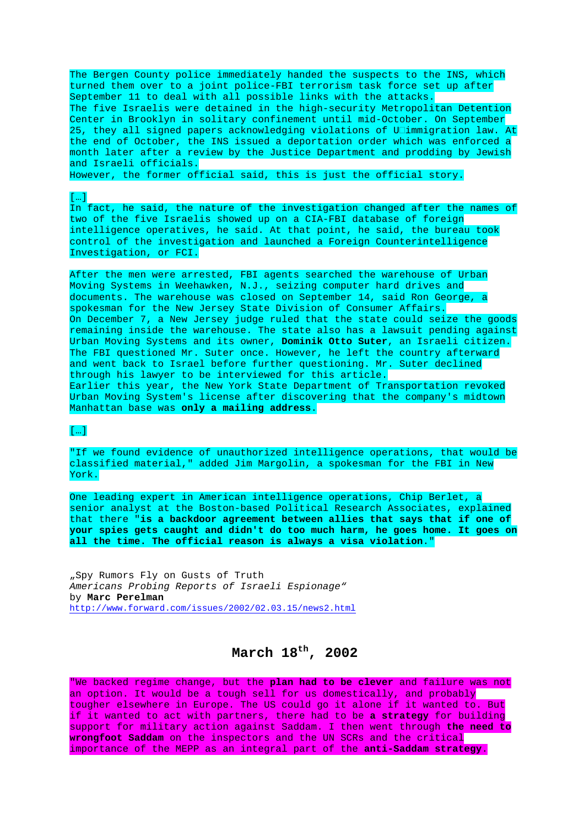The Bergen County police immediately handed the suspects to the INS, which turned them over to a joint police-FBI terrorism task force set up after September 11 to deal with all possible links with the attacks. The five Israelis were detained in the high-security Metropolitan Detention Center in Brooklyn in solitary confinement until mid-October. On September 25, they all signed papers acknowledging violations of Uimmigration law. At the end of October, the INS issued a deportation order which was enforced a month later after a review by the Justice Department and prodding by Jewish and Israeli officials.

However, the former official said, this is just the official story.

[…] In fact, he said, the nature of the investigation changed after the names of two of the five Israelis showed up on a CIA-FBI database of foreign intelligence operatives, he said. At that point, he said, the bureau took control of the investigation and launched a Foreign Counterintelligence Investigation, or FCI.

After the men were arrested, FBI agents searched the warehouse of Urban Moving Systems in Weehawken, N.J., seizing computer hard drives and documents. The warehouse was closed on September 14, said Ron George, a spokesman for the New Jersey State Division of Consumer Affairs. On December 7, a New Jersey judge ruled that the state could seize the goods remaining inside the warehouse. The state also has a lawsuit pending against Urban Moving Systems and its owner, **Dominik Otto Suter**, an Israeli citizen. The FBI questioned Mr. Suter once. However, he left the country afterward and went back to Israel before further questioning. Mr. Suter declined through his lawyer to be interviewed for this article. Earlier this year, the New York State Department of Transportation revoked Urban Moving System's license after discovering that the company's midtown Manhattan base was **only a mailing address**.

#### […]

"If we found evidence of unauthorized intelligence operations, that would be classified material," added Jim Margolin, a spokesman for the FBI in New York.

One leading expert in American intelligence operations, Chip Berlet, a senior analyst at the Boston-based Political Research Associates, explained that there "**is a backdoor agreement between allies that says that if one of your spies gets caught and didn't do too much harm, he goes home. It goes on all the time. The official reason is always a visa violation**."

.Spy Rumors Fly on Gusts of Truth Americans Probing Reports of Israeli Espionage" by **Marc Perelman** http://www.forward.com/issues/2002/02.03.15/news2.html

**March 18th, 2002** 

"We backed regime change, but the **plan had to be clever** and failure was not an option. It would be a tough sell for us domestically, and probably tougher elsewhere in Europe. The US could go it alone if it wanted to. But if it wanted to act with partners, there had to be **a strategy** for building support for military action against Saddam. I then went through **the need to wrongfoot Saddam** on the inspectors and the UN SCRs and the critical importance of the MEPP as an integral part of the **anti-Saddam strategy**.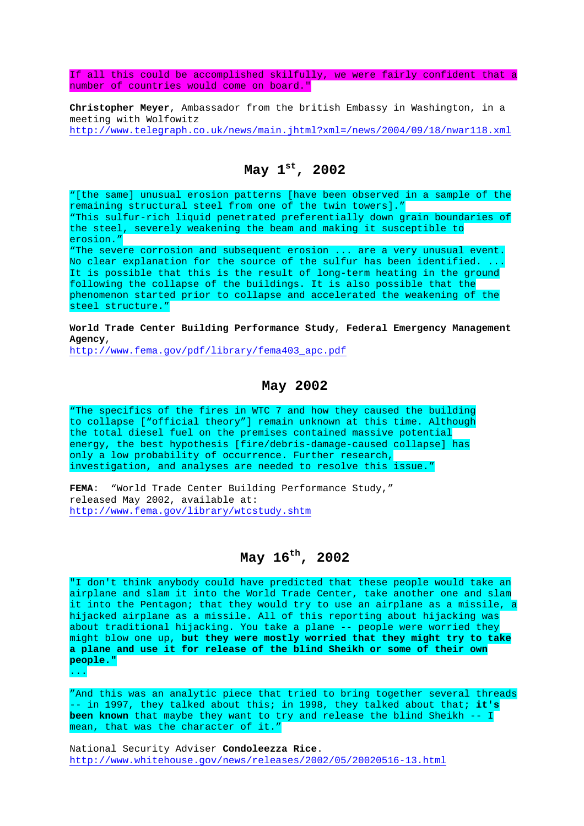If all this could be accomplished skilfully, we were fairly confident that a number of countries would come on board."

**Christopher Meyer**, Ambassador from the british Embassy in Washington, in a meeting with Wolfowitz http://www.telegraph.co.uk/news/main.jhtml?xml=/news/2004/09/18/nwar118.xml

#### **May 1st, 2002**

"[the same] unusual erosion patterns [have been observed in a sample of the remaining structural steel from one of the twin towers]." "This sulfur-rich liquid penetrated preferentially down grain boundaries of the steel, severely weakening the beam and making it susceptible to erosion." "The severe corrosion and subsequent erosion ... are a very unusual event. No clear explanation for the source of the sulfur has been identified. ...

It is possible that this is the result of long-term heating in the ground following the collapse of the buildings. It is also possible that the phenomenon started prior to collapse and accelerated the weakening of the steel structure."

**World Trade Center Building Performance Study**, **Federal Emergency Management Agency**,

http://www.fema.gov/pdf/library/fema403\_apc.pdf

#### **May 2002**

"The specifics of the fires in WTC 7 and how they caused the building to collapse ["official theory"] remain unknown at this time. Although the total diesel fuel on the premises contained massive potential energy, the best hypothesis [fire/debris-damage-caused collapse] has only a low probability of occurrence. Further research, investigation, and analyses are needed to resolve this issue."

**FEMA**: "World Trade Center Building Performance Study," released May 2002, available at: http://www.fema.gov/library/wtcstudy.shtm

## **May 16th, 2002**

"I don't think anybody could have predicted that these people would take an airplane and slam it into the World Trade Center, take another one and slam it into the Pentagon; that they would try to use an airplane as a missile, a hijacked airplane as a missile. All of this reporting about hijacking was about traditional hijacking. You take a plane -- people were worried they might blow one up, **but they were mostly worried that they might try to take a plane and use it for release of the blind Sheikh or some of their own people."**

...

"And this was an analytic piece that tried to bring together several threads -- in 1997, they talked about this; in 1998, they talked about that; **it's been known** that maybe they want to try and release the blind Sheikh -- I mean, that was the character of it."

National Security Adviser **Condoleezza Rice**. http://www.whitehouse.gov/news/releases/2002/05/20020516-13.html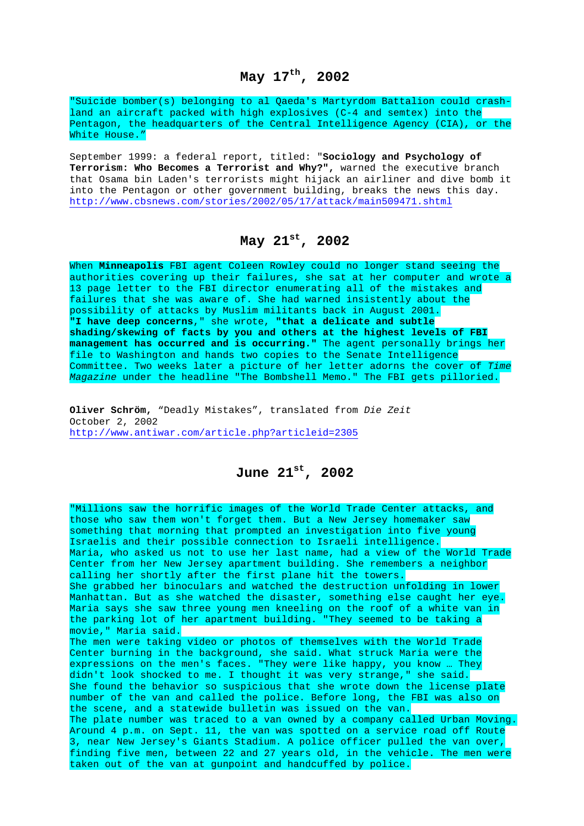### **May 17th, 2002**

"Suicide bomber(s) belonging to al Qaeda's Martyrdom Battalion could crashland an aircraft packed with high explosives (C-4 and semtex) into the Pentagon, the headquarters of the Central Intelligence Agency (CIA), or the White House."

September 1999: a federal report, titled: "**Sociology and Psychology of Terrorism: Who Becomes a Terrorist and Why?",** warned the executive branch that Osama bin Laden's terrorists might hijack an airliner and dive bomb it into the Pentagon or other government building, breaks the news this day. http://www.cbsnews.com/stories/2002/05/17/attack/main509471.shtml

## **May 21st, 2002**

When **Minneapolis** FBI agent Coleen Rowley could no longer stand seeing the authorities covering up their failures, she sat at her computer and wrote a 13 page letter to the FBI director enumerating all of the mistakes and failures that she was aware of. She had warned insistently about the possibility of attacks by Muslim militants back in August 2001. **"I have deep concerns**," she wrote, **"that a delicate and subtle shading/skewing of facts by you and others at the highest levels of FBI management has occurred and is occurring."** The agent personally brings her file to Washington and hands two copies to the Senate Intelligence Committee. Two weeks later a picture of her letter adorns the cover of Time Magazine under the headline "The Bombshell Memo." The FBI gets pilloried.

**Oliver Schröm,** "Deadly Mistakes", translated from Die Zeit October 2, 2002 http://www.antiwar.com/article.php?articleid=2305

### **June 21st, 2002**

"Millions saw the horrific images of the World Trade Center attacks, and those who saw them won't forget them. But a New Jersey homemaker saw something that morning that prompted an investigation into five young Israelis and their possible connection to Israeli intelligence. Maria, who asked us not to use her last name, had a view of the World Trade Center from her New Jersey apartment building. She remembers a neighbor calling her shortly after the first plane hit the towers. She grabbed her binoculars and watched the destruction unfolding in lower Manhattan. But as she watched the disaster, something else caught her eye. Maria says she saw three young men kneeling on the roof of a white van in the parking lot of her apartment building. "They seemed to be taking a movie," Maria said. The men were taking video or photos of themselves with the World Trade Center burning in the background, she said. What struck Maria were the expressions on the men's faces. "They were like happy, you know … They didn't look shocked to me. I thought it was very strange," she said. She found the behavior so suspicious that she wrote down the license plate number of the van and called the police. Before long, the FBI was also on the scene, and a statewide bulletin was issued on the van. The plate number was traced to a van owned by a company called Urban Moving. Around 4 p.m. on Sept. 11, the van was spotted on a service road off Route 3, near New Jersey's Giants Stadium. A police officer pulled the van over, finding five men, between 22 and 27 years old, in the vehicle. The men were taken out of the van at gunpoint and handcuffed by police.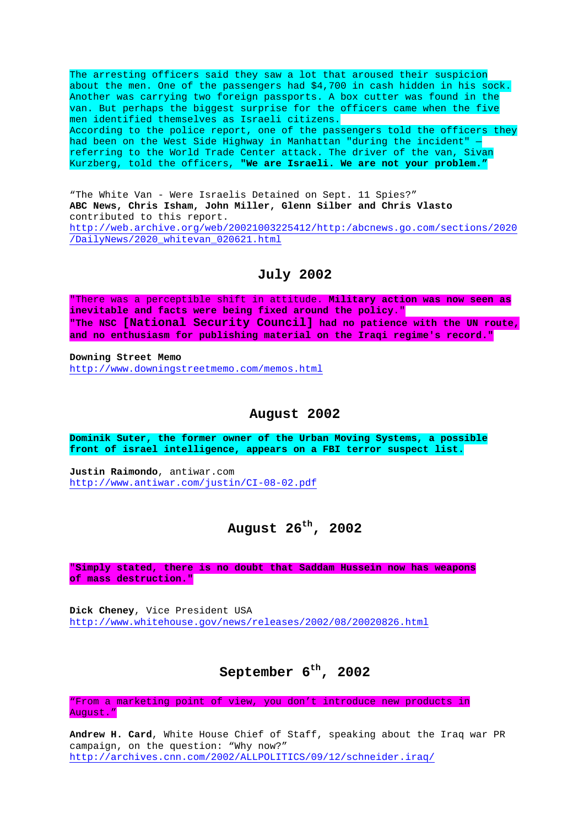The arresting officers said they saw a lot that aroused their suspicion about the men. One of the passengers had \$4,700 in cash hidden in his sock. Another was carrying two foreign passports. A box cutter was found in the van. But perhaps the biggest surprise for the officers came when the five men identified themselves as Israeli citizens. According to the police report, one of the passengers told the officers they had been on the West Side Highway in Manhattan "during the incident" referring to the World Trade Center attack. The driver of the van, Sivan Kurzberg, told the officers, **"We are Israeli. We are not your problem."** 

"The White Van - Were Israelis Detained on Sept. 11 Spies?" **ABC News, Chris Isham, John Miller, Glenn Silber and Chris Vlasto** contributed to this report. http://web.archive.org/web/20021003225412/http:/abcnews.go.com/sections/2020 /DailyNews/2020\_whitevan\_020621.html

#### **July 2002**

"There was a perceptible shift in attitude. **Military action was now seen as inevitable and facts were being fixed around the policy**." **"The NSC [National Security Council] had no patience with the UN route, and no enthusiasm for publishing material on the Iraqi regime's record."** 

**Downing Street Memo**  http://www.downingstreetmemo.com/memos.html

#### **August 2002**

**Dominik Suter, the former owner of the Urban Moving Systems, a possible front of israel intelligence, appears on a FBI terror suspect list.** 

**Justin Raimondo**, antiwar.com http://www.antiwar.com/justin/CI-08-02.pdf

## **August 26th, 2002**

"**Simply stated, there is no doubt that Saddam Hussein now has weapons of mass destruction."** 

**Dick Cheney**, Vice President USA http://www.whitehouse.gov/news/releases/2002/08/20020826.html

## **September 6th, 2002**

"From a marketing point of view, you don't introduce new products in August."

**Andrew H. Card**, White House Chief of Staff, speaking about the Iraq war PR campaign, on the question: "Why now?" http://archives.cnn.com/2002/ALLPOLITICS/09/12/schneider.iraq/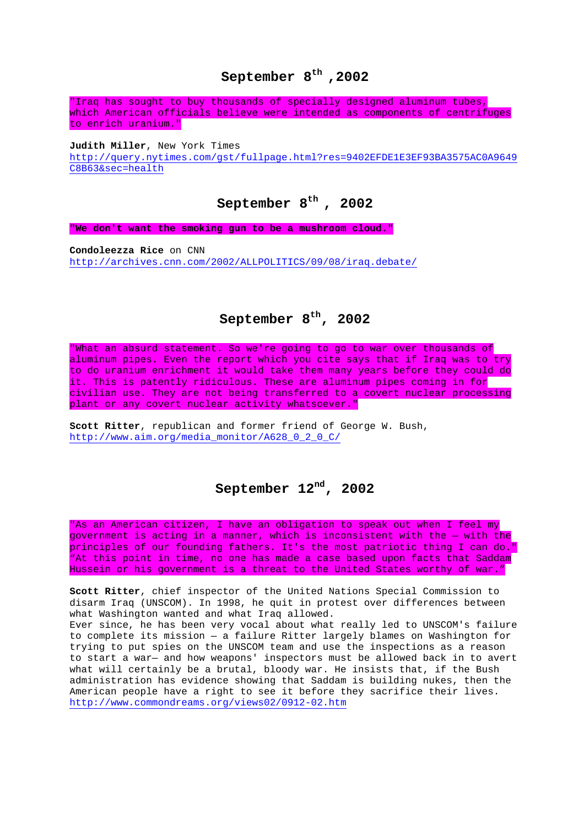### **September 8th ,2002**

"Iraq has sought to buy thousands of specially designed aluminum tubes, which American officials believe were intended as components of centrifuges to enrich uranium."

**Judith Miller**, New York Times http://query.nytimes.com/gst/fullpage.html?res=9402EFDE1E3EF93BA3575AC0A9649 C8B63&sec=health

## **September 8th , 2002**

**"We don't want the smoking gun to be a mushroom cloud."** 

**Condoleezza Rice** on CNN http://archives.cnn.com/2002/ALLPOLITICS/09/08/iraq.debate/

## **September 8th, 2002**

"What an absurd statement. So we're going to go to war over thousands of aluminum pipes. Even the report which you cite says that if Iraq was to try to do uranium enrichment it would take them many years before they could do it. This is patently ridiculous. These are aluminum pipes coming in for civilian use. They are not being transferred to a covert nuclear processing plant or any covert nuclear activity whatsoever."

**Scott Ritter**, republican and former friend of George W. Bush, http://www.aim.org/media\_monitor/A628\_0\_2\_0\_C/

#### **September 12nd, 2002**

"As an American citizen, I have an obligation to speak out when I feel my government is acting in a manner, which is inconsistent with the — with the principles of our founding fathers. It's the most patriotic thing I can do." "At this point in time, no one has made a case based upon facts that Saddam Hussein or his government is a threat to the United States worthy of war."

**Scott Ritter**, chief inspector of the United Nations Special Commission to disarm Iraq (UNSCOM). In 1998, he quit in protest over differences between what Washington wanted and what Iraq allowed. Ever since, he has been very vocal about what really led to UNSCOM's failure to complete its mission — a failure Ritter largely blames on Washington for trying to put spies on the UNSCOM team and use the inspections as a reason to start a war— and how weapons' inspectors must be allowed back in to avert what will certainly be a brutal, bloody war. He insists that, if the Bush

administration has evidence showing that Saddam is building nukes, then the American people have a right to see it before they sacrifice their lives. http://www.commondreams.org/views02/0912-02.htm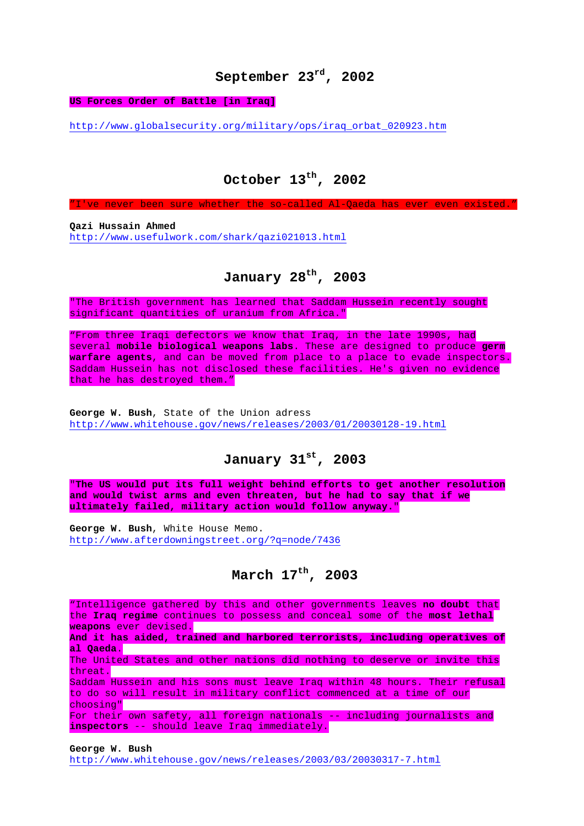### **September 23rd, 2002**

**US Forces Order of Battle [in Iraq]** 

http://www.globalsecurity.org/military/ops/iraq\_orbat\_020923.htm

### **October 13th, 2002**

've never been sure whether the so-called Al-Qaeda has ever even existed

**Qazi Hussain Ahmed** http://www.usefulwork.com/shark/qazi021013.html

## **January 28th, 2003**

"The British government has learned that Saddam Hussein recently sought significant quantities of uranium from Africa."

"From three Iraqi defectors we know that Iraq, in the late 1990s, had several **mobile biological weapons labs**. These are designed to produce **germ warfare agents**, and can be moved from place to a place to evade inspectors. Saddam Hussein has not disclosed these facilities. He's given no evidence that he has destroyed them."

**George W. Bush**, State of the Union adress http://www.whitehouse.gov/news/releases/2003/01/20030128-19.html

## **January 31st, 2003**

"**The US would put its full weight behind efforts to get another resolution and would twist arms and even threaten, but he had to say that if we ultimately failed, military action would follow anyway.**"

**George W. Bush**, White House Memo. http://www.afterdowningstreet.org/?q=node/7436

### **March 17th, 2003**

"Intelligence gathered by this and other governments leaves **no doubt** that the **Iraq regime** continues to possess and conceal some of the **most lethal weapons** ever devised. **And it has aided, trained and harbored terrorists, including operatives of al Qaeda**. The United States and other nations did nothing to deserve or invite this threat. Saddam Hussein and his sons must leave Iraq within 48 hours. Their refusal to do so will result in military conflict commenced at a time of our choosing" For their own safety, all foreign nationals -- including journalists and **inspectors** -- should leave Iraq immediately.

**George W. Bush**

http://www.whitehouse.gov/news/releases/2003/03/20030317-7.html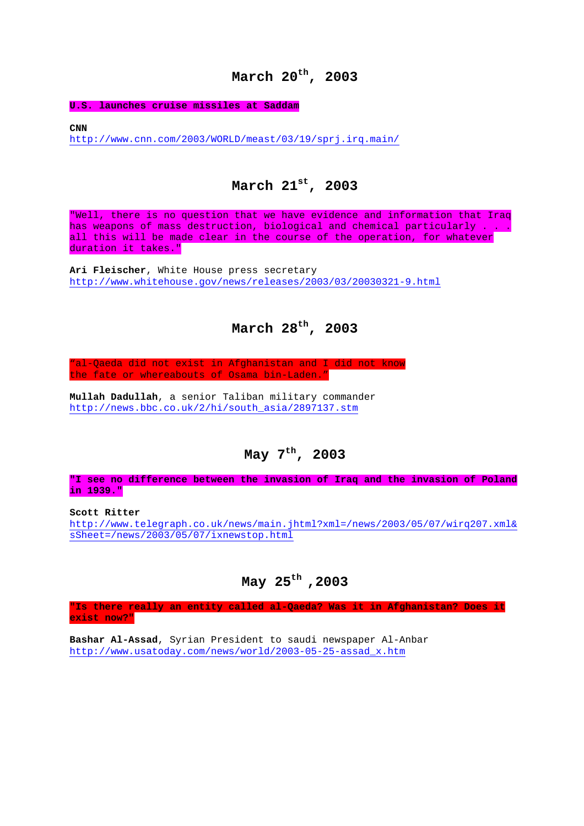## **March 20th, 2003**

#### **U.S. launches cruise missiles at Saddam**

**CNN** 

http://www.cnn.com/2003/WORLD/meast/03/19/sprj.irq.main/

## **March 21st, 2003**

"Well, there is no question that we have evidence and information that Iraq has weapons of mass destruction, biological and chemical particularly . . . all this will be made clear in the course of the operation, for whatever duration it takes."

**Ari Fleischer**, White House press secretary http://www.whitehouse.gov/news/releases/2003/03/20030321-9.html

## **March 28th, 2003**

"al-Qaeda did not exist in Afghanistan and I did not know the fate or whereabouts of Osama bin-Laden."

**Mullah Dadullah**, a senior Taliban military commander http://news.bbc.co.uk/2/hi/south\_asia/2897137.stm

## **May 7th, 2003**

**"I see no difference between the invasion of Iraq and the invasion of Poland in 1939."** 

#### **Scott Ritter**

http://www.telegraph.co.uk/news/main.jhtml?xml=/news/2003/05/07/wirq207.xml& sSheet=/news/2003/05/07/ixnewstop.html

## **May 25th ,2003**

**"Is there really an entity called al-Qaeda? Was it in Afghanistan? Does it exist now?"** 

**Bashar Al-Assad**, Syrian President to saudi newspaper Al-Anbar http://www.usatoday.com/news/world/2003-05-25-assad\_x.htm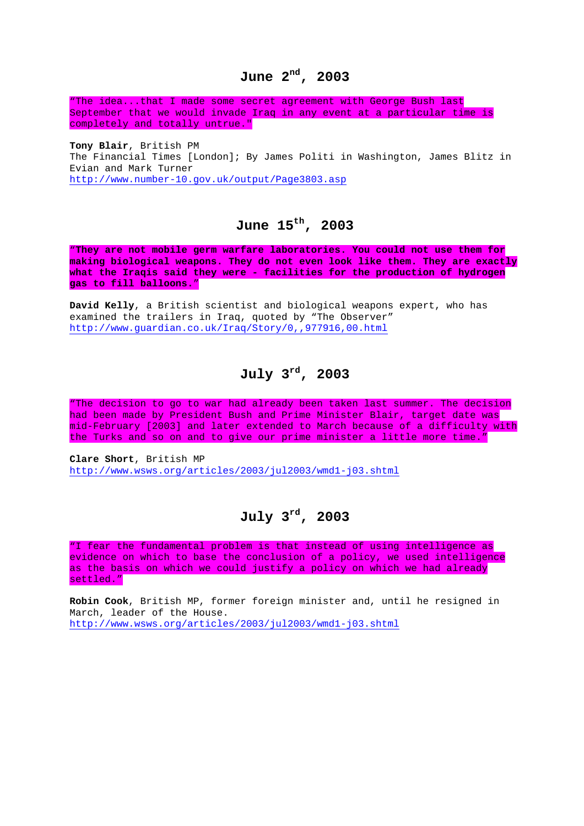## **June 2nd, 2003**

"The idea...that I made some secret agreement with George Bush last September that we would invade Iraq in any event at a particular time is completely and totally untrue."

**Tony Blair**, British PM The Financial Times [London]; By James Politi in Washington, James Blitz in Evian and Mark Turner http://www.number-10.gov.uk/output/Page3803.asp

**June 15th, 2003** 

"**They are not mobile germ warfare laboratories. You could not use them for making biological weapons. They do not even look like them. They are exactly what the Iraqis said they were - facilities for the production of hydrogen gas to fill balloons.**"

**David Kelly**, a British scientist and biological weapons expert, who has examined the trailers in Iraq, quoted by "The Observer" http://www.guardian.co.uk/Iraq/Story/0,,977916,00.html

## **July 3rd, 2003**

"The decision to go to war had already been taken last summer. The decision had been made by President Bush and Prime Minister Blair, target date was mid-February [2003] and later extended to March because of a difficulty with the Turks and so on and to give our prime minister a little more time."

**Clare Short**, British MP http://www.wsws.org/articles/2003/jul2003/wmd1-j03.shtml

## **July 3rd, 2003**

"I fear the fundamental problem is that instead of using intelligence as evidence on which to base the conclusion of a policy, we used intelligence as the basis on which we could justify a policy on which we had already settled."

**Robin Cook**, British MP, former foreign minister and, until he resigned in March, leader of the House. http://www.wsws.org/articles/2003/jul2003/wmd1-j03.shtml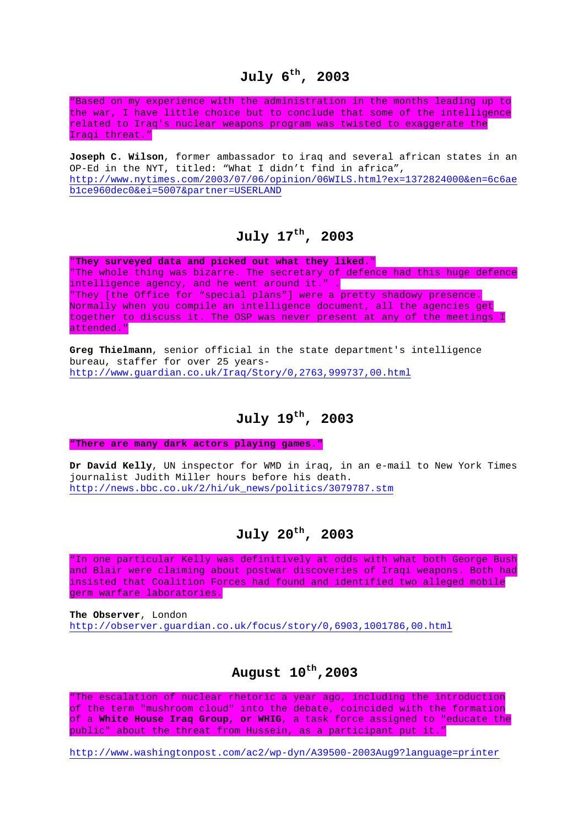## **July 6th, 2003**

"Based on my experience with the administration in the months leading up to the war, I have little choice but to conclude that some of the intelligence related to Iraq's nuclear weapons program was twisted to exaggerate the Iraqi threat."

**Joseph C. Wilson**, former ambassador to iraq and several african states in an OP-Ed in the NYT, titled: "What I didn't find in africa", http://www.nytimes.com/2003/07/06/opinion/06WILS.html?ex=1372824000&en=6c6ae b1ce960dec0&ei=5007&partner=USERLAND

## **July 17th, 2003**

"**They surveyed data and picked out what they liked**." "The whole thing was bizarre. The secretary of defence had this huge defence intelligence agency, and he went around it." . "They [the Office for "special plans"] were a pretty shadowy presence. Normally when you compile an intelligence document, all the agencies get together to discuss it. The OSP was never present at any of the meetings I attended."

**Greg Thielmann**, senior official in the state department's intelligence bureau, staffer for over 25 yearshttp://www.guardian.co.uk/Iraq/Story/0,2763,999737,00.html

## **July 19th, 2003**

#### **"There are many dark actors playing games."**

**Dr David Kelly**, UN inspector for WMD in iraq, in an e-mail to New York Times journalist Judith Miller hours before his death. http://news.bbc.co.uk/2/hi/uk\_news/politics/3079787.stm

## **July 20th, 2003**

"In one particular Kelly was definitively at odds with what both George Bush and Blair were claiming about postwar discoveries of Iraqi weapons. Both had insisted that Coalition Forces had found and identified two alleged mobile germ warfare laboratories.

**The Observer**, London http://observer.guardian.co.uk/focus/story/0,6903,1001786,00.html

## **August 10th,2003**

"The escalation of nuclear rhetoric a year ago, including the introduction of the term "mushroom cloud" into the debate, coincided with the formation of a **White House Iraq Group, or WHIG**, a task force assigned to "educate the public" about the threat from Hussein, as a participant put it."

http://www.washingtonpost.com/ac2/wp-dyn/A39500-2003Aug9?language=printer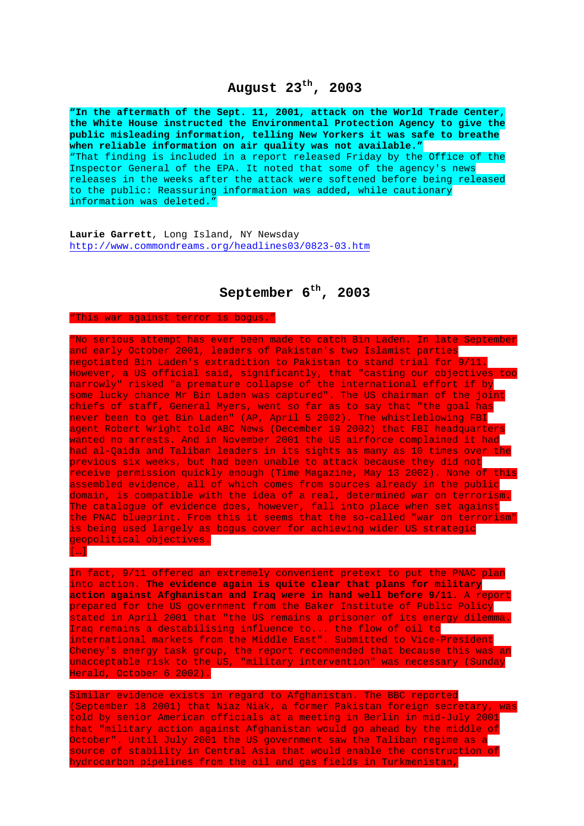### **August 23th, 2003**

**"In the aftermath of the Sept. 11, 2001, attack on the World Trade Center, the White House instructed the Environmental Protection Agency to give the public misleading information, telling New Yorkers it was safe to breathe when reliable information on air quality was not available."**  "That finding is included in a report released Friday by the Office of the Inspector General of the EPA. It noted that some of the agency's news releases in the weeks after the attack were softened before being released to the public: Reassuring information was added, while cautionary information was deleted."

**Laurie Garrett**, Long Island, NY Newsday http://www.commondreams.org/headlines03/0823-03.htm

## **September 6th, 2003**

#### This war against terror is bogus."

"No serious attempt has ever been made to catch Bin Laden. In late September and early October 2001, leaders of Pakistan's two Islamist parties negotiated Bin Laden's extradition to Pakistan to stand trial for 9/11. However, a US official said, significantly, that "casting our objectives too narrowly" risked "a premature collapse of the international effort if by some lucky chance Mr Bin Laden was captured". The US chairman of the joint chiefs of staff, General Myers, went so far as to say that "the goal has never been to get Bin Laden" (AP, April 5 2002). The whistleblowing FBI agent Robert Wright told ABC News (December 19 2002) that FBI headquarters wanted no arrests. And in November 2001 the US airforce complained it had had al-Qaida and Taliban leaders in its sights as many as 10 times over the previous six weeks, but had been unable to attack because they did not receive permission quickly enough (Time Magazine, May 13 2002). None of this assembled evidence, all of which comes from sources already in the public domain, is compatible with the idea of a real, determined war on terrorism. The catalogue of evidence does, however, fall into place when set against the PNAC blueprint. From this it seems that the so-called "war on terrorism" is being used largely as bogus cover for achieving wider US strategic geopolitical objectives. […]

In fact, 9/11 offered an extremely convenient pretext to put the PNAC plan into action. **The evidence again is quite clear that plans for military action against Afghanistan and Iraq were in hand well before 9/11.** A report prepared for the US government from the Baker Institute of Public Policy stated in April 2001 that "the US remains a prisoner of its energy dilemma. Iraq remains a destabilising influence to... the flow of oil to international markets from the Middle East". Submitted to Vice-President Cheney's energy task group, the report recommended that because this was an unacceptable risk to the US, "military intervention" was necessary (Sunday Herald, October 6 2002).

Similar evidence exists in regard to Afghanistan. The BBC reported (September 18 2001) that Niaz Niak, a former Pakistan foreign secretary, was told by senior American officials at a meeting in Berlin in mid-July 2001 that "military action against Afghanistan would go ahead by the middle of October". Until July 2001 the US government saw the Taliban regime as a source of stability in Central Asia that would enable the construction of hydrocarbon pipelines from the oil and gas fields in Turkmenistan,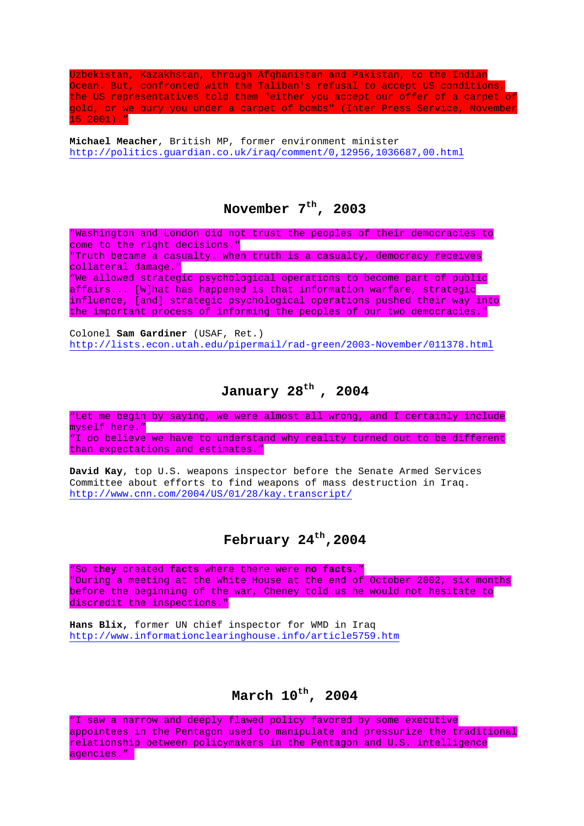Uzbekistan, Kazakhstan, through Afghanistan and Pakistan, to the Indian Ocean. But, confronted with the Taliban's refusal to accept US conditions, the US representatives told them "either you accept our offer of a carpet of gold, or we bury you under a carpet of bombs" (Inter Press Service, November 15 2001)."

**Michael Meacher**, British MP, former environment minister http://politics.guardian.co.uk/iraq/comment/0,12956,1036687,00.html

**November 7th, 2003** 

"Washington and London did not trust the peoples of their democracies to come to the right decisions." "Truth became a casualty. When truth is a casualty, democracy receives collateral damage." "We allowed strategic psychological operations to become part of public affairs... [W]hat has happened is that information warfare, strategic influence, [and] strategic psychological operations pushed their way into the important process of informing the peoples of our two democracies."

Colonel **Sam Gardiner** (USAF, Ret.) http://lists.econ.utah.edu/pipermail/rad-green/2003-November/011378.html

**January 28th , 2004** 

"Let me begin by saying, we were almost all wrong, and I certainly include myself here." "I do believe we have to understand why reality turned out to be different than expectations and estimates."

**David Kay**, top U.S. weapons inspector before the Senate Armed Services Committee about efforts to find weapons of mass destruction in Iraq. http://www.cnn.com/2004/US/01/28/kay.transcript/

## **February 24th,2004**

"So **they** created **facts** where there were **no facts."**  "During a meeting at the White House at the end of October 2002, six months before the beginning of the war, Cheney told us he would not hesitate to discredit the inspections."

**Hans Blix,** former UN chief inspector for WMD in Iraq http://www.informationclearinghouse.info/article5759.htm

### **March 10th, 2004**

"I saw a narrow and deeply flawed policy favored by some executive appointees in the Pentagon used to manipulate and pressurize the traditional relationship between policymakers in the Pentagon and U.S. intelligence agencies."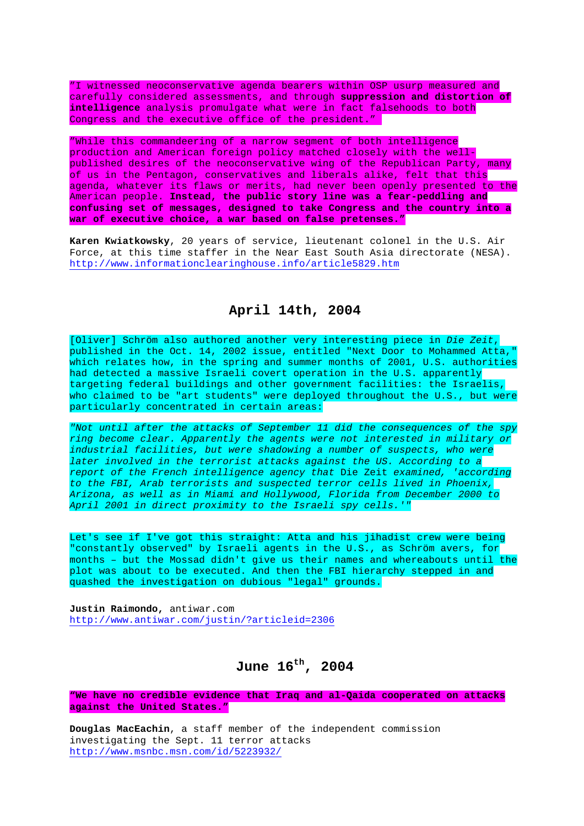"I witnessed neoconservative agenda bearers within OSP usurp measured and carefully considered assessments, and through **suppression and distortion of intelligence** analysis promulgate what were in fact falsehoods to both Congress and the executive office of the president."

"While this commandeering of a narrow segment of both intelligence production and American foreign policy matched closely with the wellpublished desires of the neoconservative wing of the Republican Party, many of us in the Pentagon, conservatives and liberals alike, felt that this agenda, whatever its flaws or merits, had never been openly presented to the American people. **Instead, the public story line was a fear-peddling and confusing set of messages, designed to take Congress and the country into a war of executive choice, a war based on false pretenses."** 

**Karen Kwiatkowsky**, 20 years of service, lieutenant colonel in the U.S. Air Force, at this time staffer in the Near East South Asia directorate (NESA). http://www.informationclearinghouse.info/article5829.htm

#### **April 14th, 2004**

[Oliver] Schröm also authored another very interesting piece in Die Zeit, published in the Oct. 14, 2002 issue, entitled "Next Door to Mohammed Atta, which relates how, in the spring and summer months of 2001, U.S. authorities had detected a massive Israeli covert operation in the U.S. apparently targeting federal buildings and other government facilities: the Israelis, who claimed to be "art students" were deployed throughout the U.S., but were particularly concentrated in certain areas:

"Not until after the attacks of September 11 did the consequences of the spy ring become clear. Apparently the agents were not interested in military or industrial facilities, but were shadowing a number of suspects, who were later involved in the terrorist attacks against the US. According to a report of the French intelligence agency that Die Zeit examined, 'according to the FBI, Arab terrorists and suspected terror cells lived in Phoenix, Arizona, as well as in Miami and Hollywood, Florida from December 2000 to April 2001 in direct proximity to the Israeli spy cells.'"

Let's see if I've got this straight: Atta and his jihadist crew were being "constantly observed" by Israeli agents in the U.S., as Schröm avers, for months – but the Mossad didn't give us their names and whereabouts until the plot was about to be executed. And then the FBI hierarchy stepped in and quashed the investigation on dubious "legal" grounds.

**Justin Raimondo,** antiwar.com http://www.antiwar.com/justin/?articleid=2306

**June 16th, 2004** 

**"We have no credible evidence that Iraq and al-Qaida cooperated on attacks against the United States."** 

**Douglas MacEachin**, a staff member of the independent commission investigating the Sept. 11 terror attacks http://www.msnbc.msn.com/id/5223932/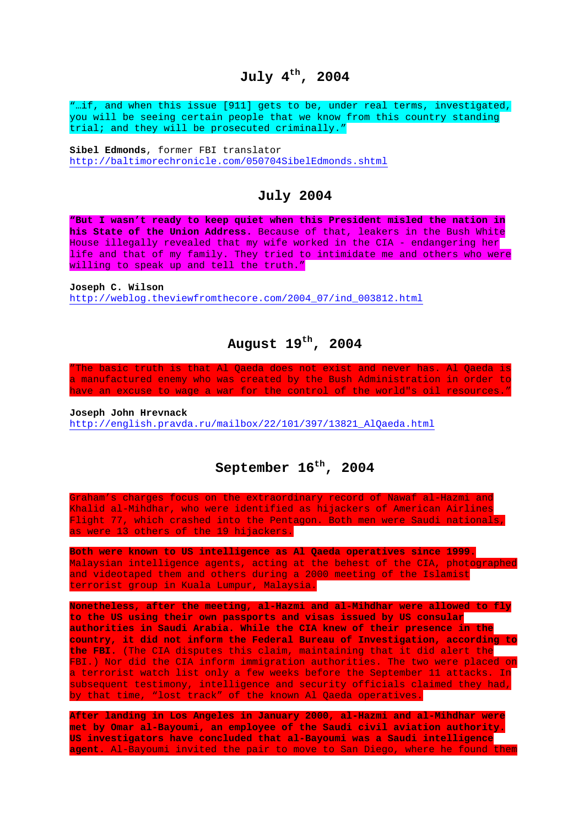## **July 4th, 2004**

"..if, and when this issue [911] gets to be, under real terms, investigated, you will be seeing certain people that we know from this country standing trial; and they will be prosecuted criminally."

**Sibel Edmonds**, former FBI translator http://baltimorechronicle.com/050704SibelEdmonds.shtml

#### **July 2004**

**"But I wasn't ready to keep quiet when this President misled the nation in his State of the Union Address.** Because of that, leakers in the Bush White House illegally revealed that my wife worked in the CIA - endangering her life and that of my family. They tried to intimidate me and others who were willing to speak up and tell the truth."

**Joseph C. Wilson**  http://weblog.theviewfromthecore.com/2004\_07/ind\_003812.html

### **August 19th, 2004**

The basic truth is that Al Qaeda does not exist and never has. Al Qaeda is a manufactured enemy who was created by the Bush Administration in order to have an excuse to wage a war for the control of the world"s oil resources."

**Joseph John Hrevnack**  http://english.pravda.ru/mailbox/22/101/397/13821\_AlQaeda.html

### **September 16th, 2004**

Graham's charges focus on the extraordinary record of Nawaf al-Hazmi and Khalid al-Mihdhar, who were identified as hijackers of American Airlines Flight 77, which crashed into the Pentagon. Both men were Saudi nationals, as were 13 others of the 19 hijackers.

**Both were known to US intelligence as Al Qaeda operatives since 1999.** Malaysian intelligence agents, acting at the behest of the CIA, photographed and videotaped them and others during a 2000 meeting of the Islamist terrorist group in Kuala Lumpur, Malaysia.

**Nonetheless, after the meeting, al-Hazmi and al-Mihdhar were allowed to fly to the US using their own passports and visas issued by US consular authorities in Saudi Arabia. While the CIA knew of their presence in the country, it did not inform the Federal Bureau of Investigation, according to the FBI.** (The CIA disputes this claim, maintaining that it did alert the FBI.) Nor did the CIA inform immigration authorities. The two were placed on a terrorist watch list only a few weeks before the September 11 attacks. In subsequent testimony, intelligence and security officials claimed they had, by that time, "lost track" of the known Al Qaeda operatives.

**After landing in Los Angeles in January 2000, al-Hazmi and al-Mihdhar were met by Omar al-Bayoumi, an employee of the Saudi civil aviation authority. US investigators have concluded that al-Bayoumi was a Saudi intelligence**  agent. Al-Bayoumi invited the pair to move to San Diego, where he found the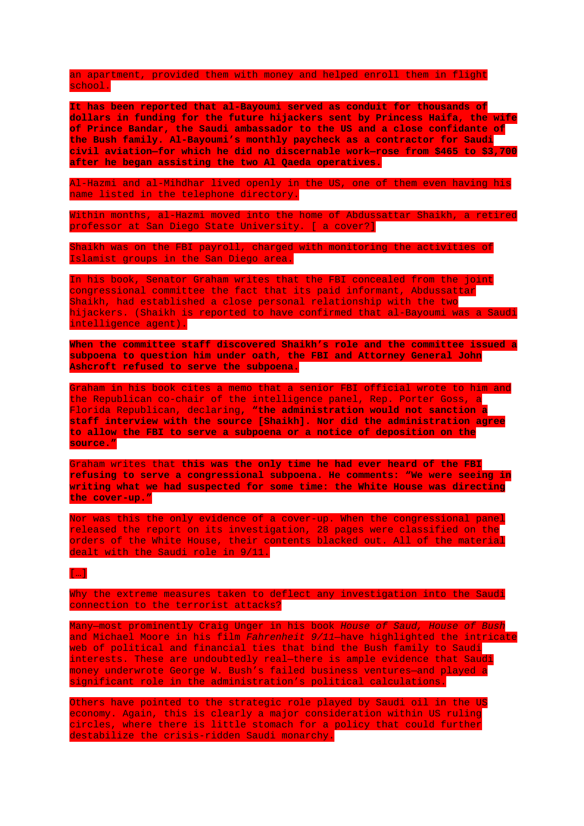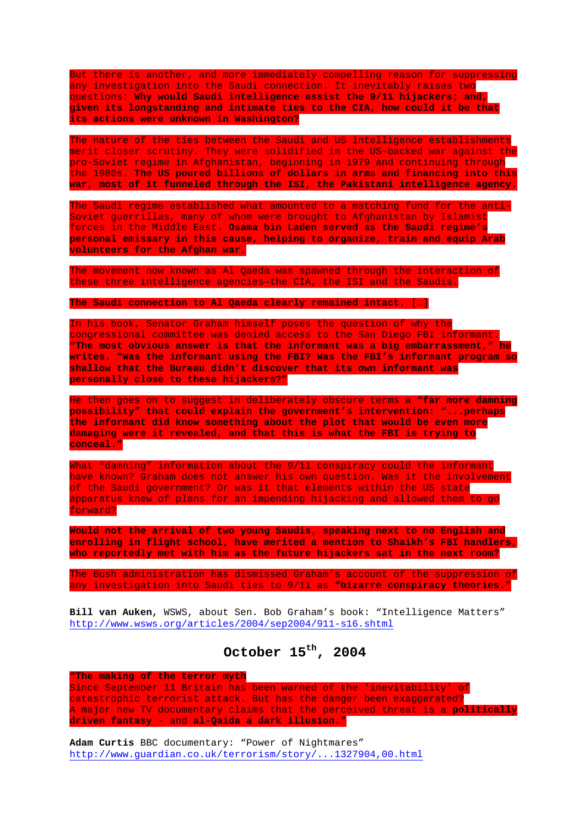But there is another, and more immediately compelling reason for suppressing any investigation into the Saudi connection. It inevitably raises two questions: **Why would Saudi intelligence assist the 9/11 hijackers; and, given its longstanding and intimate ties to the CIA, how could it be that its actions were unknown in Washington?** 

The nature of the ties between the Saudi and US intelligence establishments merit closer scrutiny. They were solidified in the US-backed war against the pro-Soviet regime in Afghanistan, beginning in 1979 and continuing through the 1980s. **The US poured billions of dollars in arms and financing into this war, most of it funneled through the ISI, the Pakistani intelligence agency.** 

The Saudi regime established what amounted to a matching fund for the anti-Soviet guerrillas, many of whom were brought to Afghanistan by Islamist forces in the Middle East. **Osama bin Laden served as the Saudi regime's personal emissary in this cause, helping to organize, train and equip Arab volunteers for the Afghan war.**

The movement now known as Al Qaeda was spawned through the interaction of these three intelligence agencies—the CIA, the ISI and the Saudis.

**The Saudi connection to Al Qaeda clearly remained intact**. […]

In his book, Senator Graham himself poses the question of why the congressional committee was denied access to the San Diego FBI informant. **"The most obvious answer is that the informant was a big embarrassment," he writes. "Was the informant using the FBI? Was the FBI's informant program so shallow that the Bureau didn't discover that its own informant was personally close to these hijackers?"** 

He then goes on to suggest in deliberately obscure terms a **"far more damning possibility" that could explain the government's intervention: "...perhaps the informant did know something about the plot that would be even more damaging were it revealed, and that this is what the FBI is trying to conceal."** 

What "damning" information about the 9/11 conspiracy could the informant have known? Graham does not answer his own question. Was it the involvement of the Saudi government? Or was it that elements within the US state apparatus knew of plans for an impending hijacking and allowed them to go forward?

**Would not the arrival of two young Saudis, speaking next to no English and enrolling in flight school, have merited a mention to Shaikh's FBI handlers, who reportedly met with him as the future hijackers sat in the next room?** 

The Bush administration has dismissed Graham's account of the suppression of any investigation into Saudi ties to 9/11 as **"bizarre conspiracy theories."** 

**Bill van Auken,** WSWS, about Sen. Bob Graham's book: "Intelligence Matters" http://www.wsws.org/articles/2004/sep2004/911-s16.shtml

**October 15th, 2004**

**"The making of the terror myth** Since September 11 Britain has been warned of the 'inevitability' of catastrophic terrorist attack. But has the danger been exaggerated? A major new TV documentary claims that the perceived threat is a **politically driven fantasy** - and **al-Qaida a dark illusion**."

**Adam Curtis** BBC documentary: "Power of Nightmares" http://www.guardian.co.uk/terrorism/story/...1327904,00.html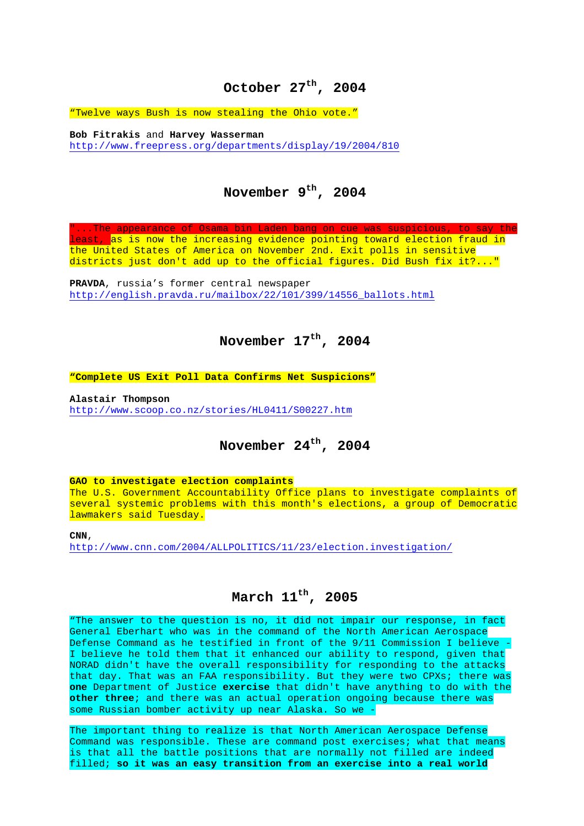#### **October 27th, 2004**

"Twelve ways Bush is now stealing the Ohio vote."

**Bob Fitrakis** and **Harvey Wasserman** http://www.freepress.org/departments/display/19/2004/810

### **November 9th, 2004**

...The appearance of Osama bin Laden bang on cue was suspicious, to say the least, as is now the increasing evidence pointing toward election fraud in the United States of America on November 2nd. Exit polls in sensitive districts just don't add up to the official figures. Did Bush fix it?..."

**PRAVDA**, russia's former central newspaper http://english.pravda.ru/mailbox/22/101/399/14556\_ballots.html

### **November 17th, 2004**

**"Complete US Exit Poll Data Confirms Net Suspicions"** 

**Alastair Thompson**  http://www.scoop.co.nz/stories/HL0411/S00227.htm

#### **November 24th, 2004**

**GAO to investigate election complaints**  The U.S. Government Accountability Office plans to investigate complaints of several systemic problems with this month's elections, a group of Democratic lawmakers said Tuesday.

**CNN**,

http://www.cnn.com/2004/ALLPOLITICS/11/23/election.investigation/

### **March 11th, 2005**

"The answer to the question is no, it did not impair our response, in fact General Eberhart who was in the command of the North American Aerospace Defense Command as he testified in front of the 9/11 Commission I believe I believe he told them that it enhanced our ability to respond, given that NORAD didn't have the overall responsibility for responding to the attacks that day. That was an FAA responsibility. But they were two CPXs; there was **one** Department of Justice **exercise** that didn't have anything to do with the **other three**; and there was an actual operation ongoing because there was some Russian bomber activity up near Alaska. So we -

The important thing to realize is that North American Aerospace Defense Command was responsible. These are command post exercises; what that means is that all the battle positions that are normally not filled are indeed filled; **so it was an easy transition from an exercise into a real world**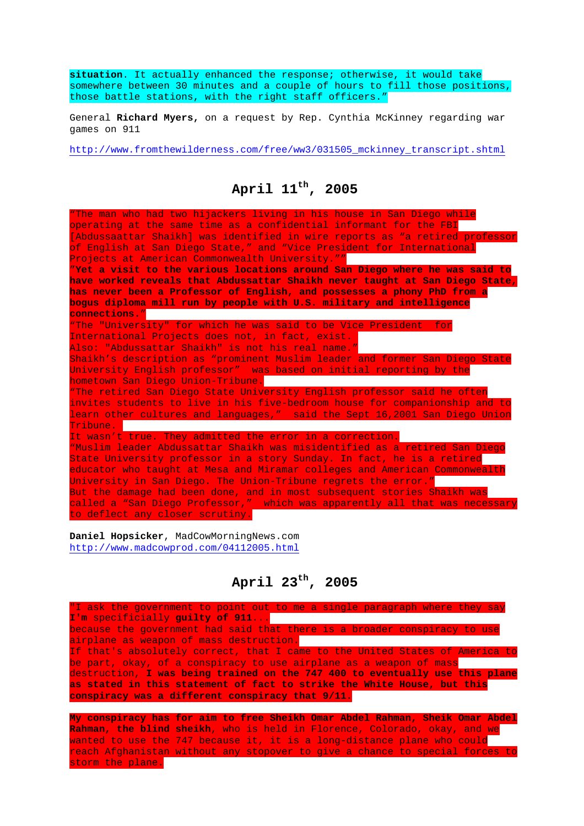**situation**. It actually enhanced the response; otherwise, it would take somewhere between 30 minutes and a couple of hours to fill those positions, those battle stations, with the right staff officers."

General **Richard Myers,** on a request by Rep. Cynthia McKinney regarding war games on 911

http://www.fromthewilderness.com/free/ww3/031505\_mckinney\_transcript.shtml

### **April 11th, 2005**



**Daniel Hopsicker**, MadCowMorningNews.com http://www.madcowprod.com/04112005.html

## **April 23th, 2005**

"I ask the government to point out to me a single paragraph where they say **I'm** specificially **guilty of 911**... because the government had said that there is a broader conspiracy to use airplane as weapon of mass destruction. If that's absolutely correct, that I came to the United States of America to be part, okay, of a conspiracy to use airplane as a weapon of mass destruction, **I was being trained on the 747 400 to eventually use this plane as stated in this statement of fact to strike the White House, but this conspiracy was a different conspiracy that 9/11. My conspiracy has for aim to free Sheikh Omar Abdel Rahman, Sheik Omar Abdel Rahman, the blind sheikh**, who is held in Florence, Colorado, okay, and we

wanted to use the 747 because it, it is a long-distance plane who could reach Afghanistan without any stopover to give a chance to special forces storm the plane.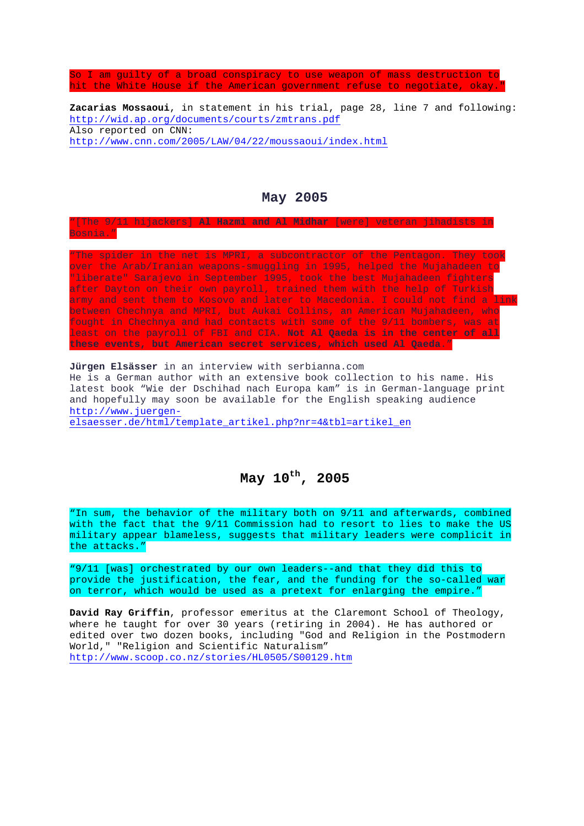So I am guilty of a broad conspiracy to use weapon of mass destruction to hit the White House if the American government refuse to negotiate, okay.

**Zacarias Mossaoui**, in statement in his trial, page 28, line 7 and following: http://wid.ap.org/documents/courts/zmtrans.pdf Also reported on CNN: http://www.cnn.com/2005/LAW/04/22/moussaoui/index.html

#### **May 2005**

hijackers] Al Hazmi and Al Midhar [were] veteran jihadists Bosnia."

The spider in the net is MPRI, a subcontractor of the Pentagon. They took over the Arab/Iranian weapons-smuggling in 1995, helped the Mujahadeen to "liberate" Sarajevo in September 1995, took the best Mujahadeen fighters after Dayton on their own payroll, trained them with the help of Turkish army and sent them to Kosovo and later to Macedonia. I could not find a link between Chechnya and MPRI, but Aukai Collins, an American Mujahadeen, who fought in Chechnya and had contacts with some of the 9/11 bombers, was at least on the payroll of FBI and CIA. **Not Al Qaeda is in the center of all these events, but American secret services, which used Al Qaeda**."

**Jürgen Elsässer** in an interview with serbianna.com He is a German author with an extensive book collection to his name. His latest book "Wie der Dschihad nach Europa kam" is in German-language print and hopefully may soon be available for the English speaking audience http://www.juergenelsaesser.de/html/template\_artikel.php?nr=4&tbl=artikel\_en

**May 10th, 2005** 

"In sum, the behavior of the military both on 9/11 and afterwards, combined with the fact that the 9/11 Commission had to resort to lies to make the US military appear blameless, suggests that military leaders were complicit in the attacks."

"9/11 [was] orchestrated by our own leaders--and that they did this to provide the justification, the fear, and the funding for the so-called war on terror, which would be used as a pretext for enlarging the empire."

**David Ray Griffin**, professor emeritus at the Claremont School of Theology, where he taught for over 30 years (retiring in 2004). He has authored or edited over two dozen books, including "God and Religion in the Postmodern World," "Religion and Scientific Naturalism" http://www.scoop.co.nz/stories/HL0505/S00129.htm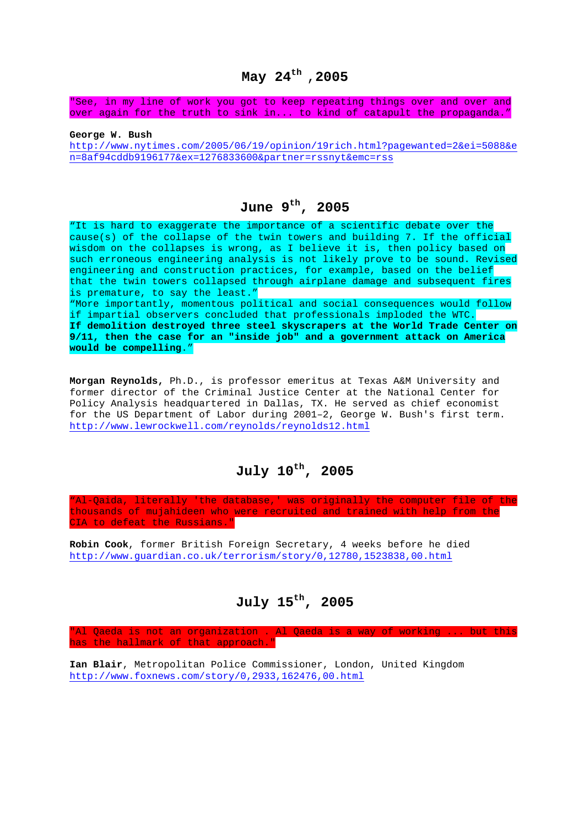### **May 24th** ,**2005**

"See, in my line of work you got to keep repeating things over and over and over again for the truth to sink in... to kind of catapult the propaganda."

**George W. Bush** 

http://www.nytimes.com/2005/06/19/opinion/19rich.html?pagewanted=2&ei=5088&e n=8af94cddb9196177&ex=1276833600&partner=rssnyt&emc=rss

## **June 9th, 2005**

"It is hard to exaggerate the importance of a scientific debate over the cause(s) of the collapse of the twin towers and building 7. If the official wisdom on the collapses is wrong, as I believe it is, then policy based on such erroneous engineering analysis is not likely prove to be sound. Revised engineering and construction practices, for example, based on the belief that the twin towers collapsed through airplane damage and subsequent fires is premature, to say the least." "More importantly, momentous political and social consequences would follow

if impartial observers concluded that professionals imploded the WTC. **If demolition destroyed three steel skyscrapers at the World Trade Center on 9/11, then the case for an "inside job" and a government attack on America would be compelling**."

**Morgan Reynolds,** Ph.D., is professor emeritus at Texas A&M University and former director of the Criminal Justice Center at the National Center for Policy Analysis headquartered in Dallas, TX. He served as chief economist for the US Department of Labor during 2001–2, George W. Bush's first term. http://www.lewrockwell.com/reynolds/reynolds12.html

## **July 10th, 2005**

"Al-Qaida, literally 'the database,' was originally the computer file of the thousands of mujahideen who were recruited and trained with help from the CIA to defeat the Russians."

**Robin Cook**, former British Foreign Secretary, 4 weeks before he died http://www.guardian.co.uk/terrorism/story/0,12780,1523838,00.html

## **July 15th, 2005**

"Al Qaeda is not an organization . Al Qaeda is a way of working ... but thi has the hallmark of that approach.'

**Ian Blair**, Metropolitan Police Commissioner, London, United Kingdom http://www.foxnews.com/story/0,2933,162476,00.html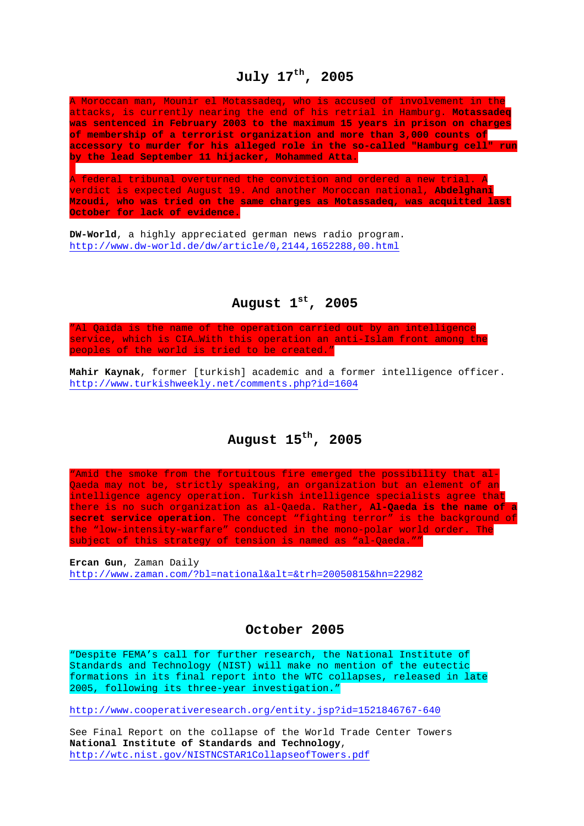## **July 17th, 2005**



**DW-World**, a highly appreciated german news radio program. http://www.dw-world.de/dw/article/0,2144,1652288,00.html

## **August 1st, 2005**

Al Qaida is the name of the operation carried out by an intelligence service, which is CIA…With this operation an anti-Islam front among the peoples of the world is tried to be created."

**Mahir Kaynak**, former [turkish] academic and a former intelligence officer. http://www.turkishweekly.net/comments.php?id=1604

## **August 15th, 2005**

"Amid the smoke from the fortuitous fire emerged the possibility that al-Qaeda may not be, strictly speaking, an organization but an element of an intelligence agency operation. Turkish intelligence specialists agree that there is no such organization as al-Qaeda. Rather, **Al-Qaeda is the name of a secret service operation**. The concept "fighting terror" is the background of the "low-intensity-warfare" conducted in the mono-polar world order. The subject of this strategy of tension is named as "al-Qaeda.""

**Ercan Gun**, Zaman Daily http://www.zaman.com/?bl=national&alt=&trh=20050815&hn=22982

#### **October 2005**

"Despite FEMA's call for further research, the National Institute of Standards and Technology (NIST) will make no mention of the eutectic formations in its final report into the WTC collapses, released in late 2005, following its three-year investigation."

http://www.cooperativeresearch.org/entity.jsp?id=1521846767-640

See Final Report on the collapse of the World Trade Center Towers **National Institute of Standards and Technology**, http://wtc.nist.gov/NISTNCSTAR1CollapseofTowers.pdf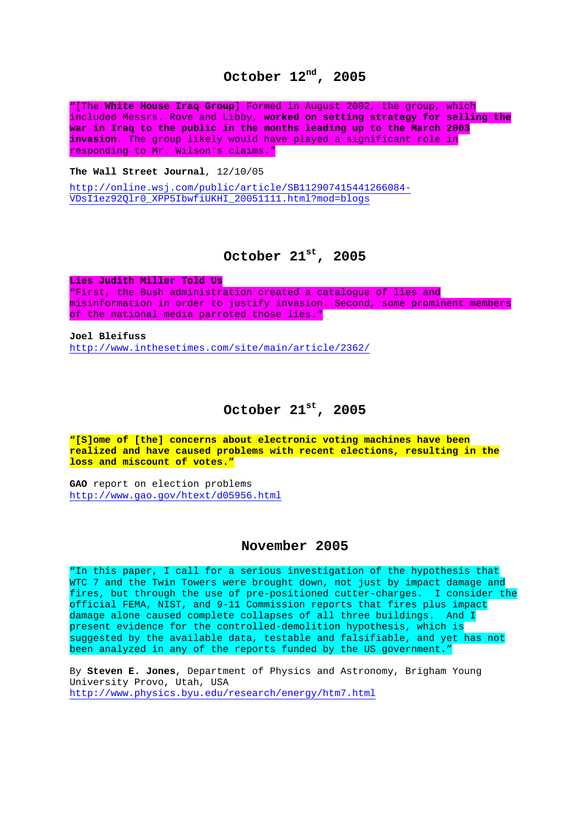#### **October 12nd, 2005**

"[The **White House Iraq Group**] Formed in August 2002, the group, which included Messrs. Rove and Libby, **worked on setting strategy for selling the war in Iraq to the public in the months leading up to the March 2003 invasion**. The group likely would have played a significant role in responding to Mr. Wilson's claims."

**The Wall Street Journal**, 12/10/05

http://online.wsj.com/public/article/SB112907415441266084- VDsI1ez92Qlr0\_XPP5IbwfiUKHI\_20051111.html?mod=blogs

#### **October 21st, 2005**

**Lies Judith Miller Told Us**  "First, the Bush administration created a catalogue of lies and misinformation in order to justify invasion. Second, some prominent members of the national media parroted those lies."

**Joel Bleifuss**  http://www.inthesetimes.com/site/main/article/2362/

### **October 21st, 2005**

**"[S]ome of [the] concerns about electronic voting machines have been realized and have caused problems with recent elections, resulting in the loss and miscount of votes."** 

**GAO** report on election problems http://www.gao.gov/htext/d05956.html

#### **November 2005**

"In this paper, I call for a serious investigation of the hypothesis that WTC 7 and the Twin Towers were brought down, not just by impact damage and fires, but through the use of pre-positioned cutter-charges. I consider the official FEMA, NIST, and 9-11 Commission reports that fires plus impact damage alone caused complete collapses of all three buildings. And I present evidence for the controlled-demolition hypothesis, which is suggested by the available data, testable and falsifiable, and yet has not been analyzed in any of the reports funded by the US government."

By **Steven E. Jones**, Department of Physics and Astronomy, Brigham Young University Provo, Utah, USA http://www.physics.byu.edu/research/energy/htm7.html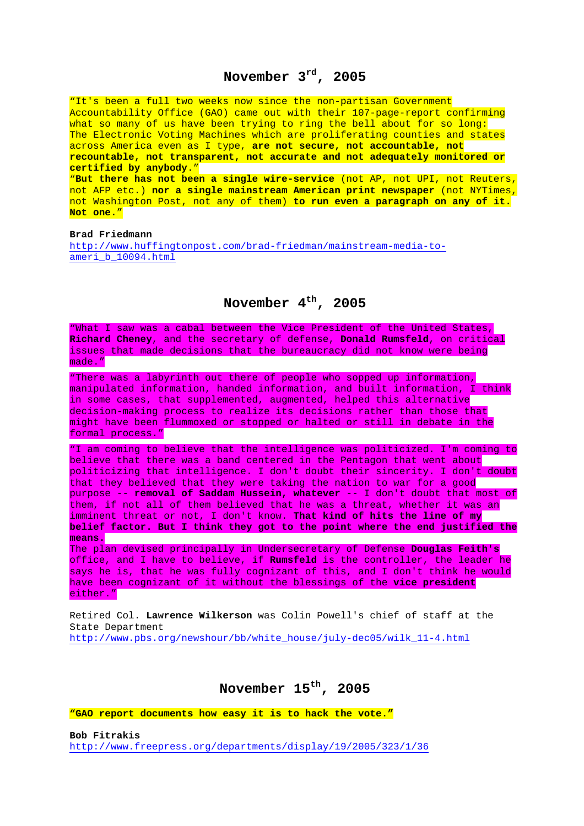#### **November 3rd, 2005**

"It's been a full two weeks now since the non-partisan Government Accountability Office (GAO) came out with their 107-page-report confirming what so many of us have been trying to ring the bell about for so long: The Electronic Voting Machines which are proliferating counties and states across America even as I type, **are not secure, not accountable, not recountable, not transparent, not accurate and not adequately monitored or certified by anybody**." "**But there has not been a single wire-service** (not AP, not UPI, not Reuters, not AFP etc.) **nor a single mainstream American print newspaper** (not NYTimes, not Washington Post, not any of them) **to run even a paragraph on any of it. Not one.**"

#### **Brad Friedmann**

http://www.huffingtonpost.com/brad-friedman/mainstream-media-toameri\_b\_10094.html

### **November 4th, 2005**

"What I saw was a cabal between the Vice President of the United States, **Richard Cheney**, and the secretary of defense, **Donald Rumsfeld**, on critical issues that made decisions that the bureaucracy did not know were being  $\overline{\mathsf{made}.\mathsf{''}}$ 

"There was a labyrinth out there of people who sopped up information, manipulated information, handed information, and built information, I think in some cases, that supplemented, augmented, helped this alternative decision-making process to realize its decisions rather than those that might have been flummoxed or stopped or halted or still in debate in the formal process."

"I am coming to believe that the intelligence was politicized. I'm coming to believe that there was a band centered in the Pentagon that went about politicizing that intelligence. I don't doubt their sincerity. I don't doubt that they believed that they were taking the nation to war for a good purpose -- **removal of Saddam Hussein, whatever** -- I don't doubt that most of them, if not all of them believed that he was a threat, whether it was an imminent threat or not, I don't know. **That kind of hits the line of my belief factor. But I think they got to the point where the end justified the means.**  The plan devised principally in Undersecretary of Defense **Douglas Feith's**

office, and I have to believe, if **Rumsfeld** is the controller, the leader he says he is, that he was fully cognizant of this, and I don't think he would have been cognizant of it without the blessings of the **vice president** either."

Retired Col. **Lawrence Wilkerson** was Colin Powell's chief of staff at the State Department

http://www.pbs.org/newshour/bb/white\_house/july-dec05/wilk\_11-4.html

**November 15th, 2005**

**"GAO report documents how easy it is to hack the vote."** 

**Bob Fitrakis**  http://www.freepress.org/departments/display/19/2005/323/1/36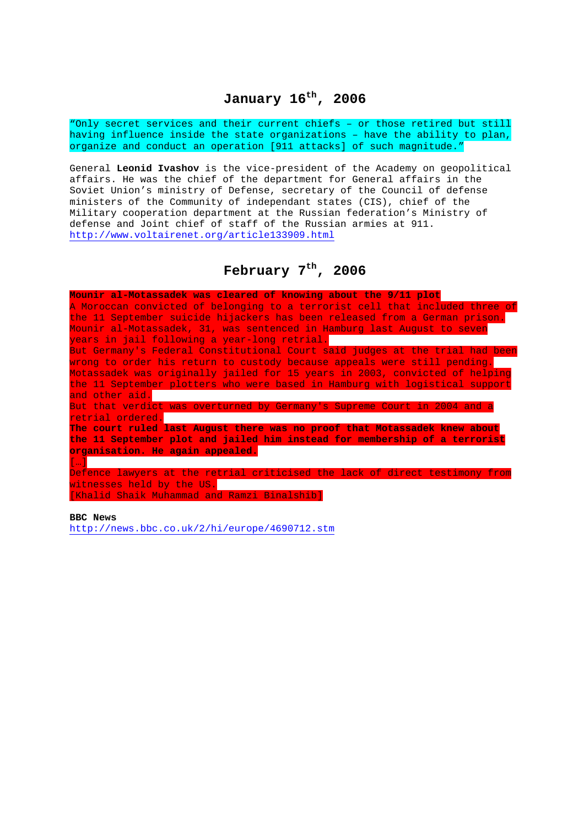## **January 16th, 2006**

"Only secret services and their current chiefs – or those retired but still having influence inside the state organizations – have the ability to plan, organize and conduct an operation [911 attacks] of such magnitude."

General **Leonid Ivashov** is the vice-president of the Academy on geopolitical affairs. He was the chief of the department for General affairs in the Soviet Union's ministry of Defense, secretary of the Council of defense ministers of the Community of independant states (CIS), chief of the Military cooperation department at the Russian federation's Ministry of defense and Joint chief of staff of the Russian armies at 911. http://www.voltairenet.org/article133909.html

### **February 7th, 2006**



**BBC News**  http://news.bbc.co.uk/2/hi/europe/4690712.stm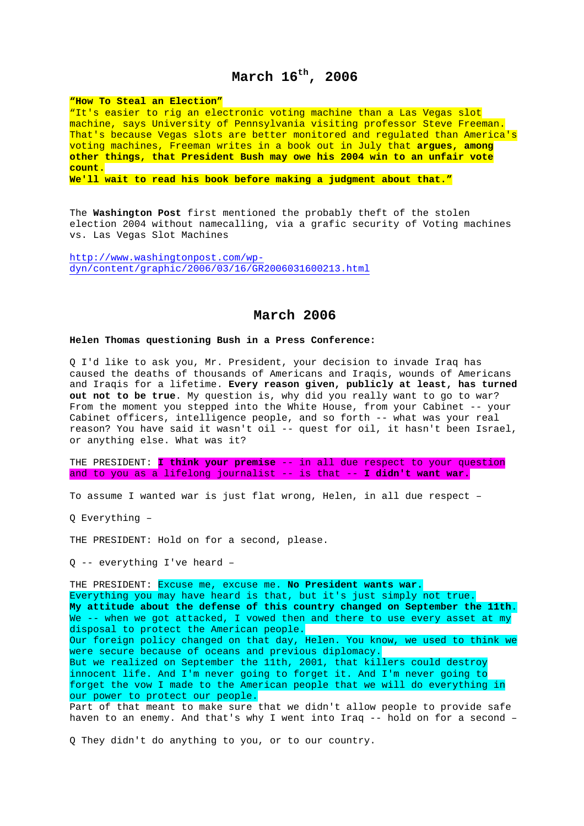#### **March 16th, 2006**

#### **"How To Steal an Election"**

"It's easier to rig an electronic voting machine than a Las Vegas slot machine, says University of Pennsylvania visiting professor Steve Freeman. That's because Vegas slots are better monitored and regulated than America's voting machines, Freeman writes in a book out in July that **argues, among other things, that President Bush may owe his 2004 win to an unfair vote count.** 

**We'll wait to read his book before making a judgment about that."**

The **Washington Post** first mentioned the probably theft of the stolen election 2004 without namecalling, via a grafic security of Voting machines vs. Las Vegas Slot Machines

http://www.washingtonpost.com/wpdyn/content/graphic/2006/03/16/GR2006031600213.html

#### **March 2006**

#### **Helen Thomas questioning Bush in a Press Conference:**

Q I'd like to ask you, Mr. President, your decision to invade Iraq has caused the deaths of thousands of Americans and Iraqis, wounds of Americans and Iraqis for a lifetime. **Every reason given, publicly at least, has turned out not to be true**. My question is, why did you really want to go to war? From the moment you stepped into the White House, from your Cabinet -- your Cabinet officers, intelligence people, and so forth -- what was your real reason? You have said it wasn't oil -- quest for oil, it hasn't been Israel, or anything else. What was it?

THE PRESIDENT: **I think your premise** -- in all due respect to your question and to you as a lifelong journalist -- is that -- **I didn't want war.**

To assume I wanted war is just flat wrong, Helen, in all due respect –

Q Everything –

THE PRESIDENT: Hold on for a second, please.

Q -- everything I've heard –

THE PRESIDENT: Excuse me, excuse me. **No President wants war.**  Everything you may have heard is that, but it's just simply not true. **My attitude about the defense of this country changed on September the 11th**. We -- when we got attacked, I vowed then and there to use every asset at my disposal to protect the American people. Our foreign policy changed on that day, Helen. You know, we used to think we were secure because of oceans and previous diplomacy. But we realized on September the 11th, 2001, that killers could destroy innocent life. And I'm never going to forget it. And I'm never going to forget the vow I made to the American people that we will do everything in our power to protect our people. Part of that meant to make sure that we didn't allow people to provide safe

haven to an enemy. And that's why I went into Iraq -- hold on for a second –

Q They didn't do anything to you, or to our country.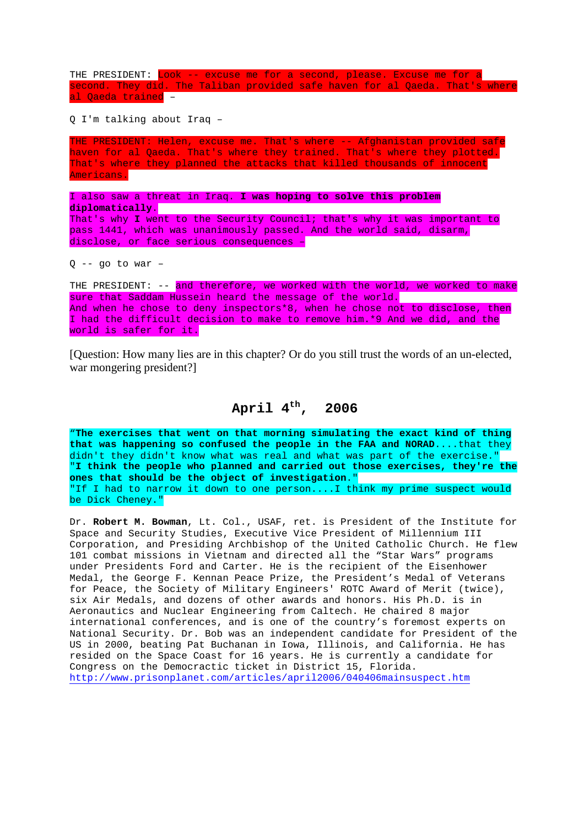THE PRESIDENT: Look -- excuse me for a second, please. Excuse me for a second. They did. The Taliban provided safe haven for al Qaeda. That's where al Qaeda trained –

Q I'm talking about Iraq –

THE PRESIDENT: Helen, excuse me. That's where -- Afghanistan provided safe haven for al Qaeda. That's where they trained. That's where they plotted. That's where they planned the attacks that killed thousands of innocent Americans. I also saw a threat in Iraq. **I was hoping to solve this problem diplomatically**. That's why **I** went to the Security Council; that's why it was important to pass 1441, which was unanimously passed. And the world said, disarm, disclose, or face serious consequences –  $0$  -- go to war -THE PRESIDENT: -- and therefore, we worked with the world, we worked to make

sure that Saddam Hussein heard the message of the world. And when he chose to deny inspectors\*8, when he chose not to disclose, then I had the difficult decision to make to remove him.\*9 And we did, and the world is safer for it.

[Question: How many lies are in this chapter? Or do you still trust the words of an un-elected, war mongering president?]

## **April 4th, 2006**

"**The exercises that went on that morning simulating the exact kind of thing that was happening so confused the people in the FAA and NORAD**....that they didn't they didn't know what was real and what was part of the exercise." "**I think the people who planned and carried out those exercises, they're the ones that should be the object of investigation**." "If I had to narrow it down to one person....I think my prime suspect would be Dick Cheney."

Dr. **Robert M. Bowman**, Lt. Col., USAF, ret. is President of the Institute for Space and Security Studies, Executive Vice President of Millennium III Corporation, and Presiding Archbishop of the United Catholic Church. He flew 101 combat missions in Vietnam and directed all the "Star Wars" programs under Presidents Ford and Carter. He is the recipient of the Eisenhower Medal, the George F. Kennan Peace Prize, the President's Medal of Veterans for Peace, the Society of Military Engineers' ROTC Award of Merit (twice), six Air Medals, and dozens of other awards and honors. His Ph.D. is in Aeronautics and Nuclear Engineering from Caltech. He chaired 8 major international conferences, and is one of the country's foremost experts on National Security. Dr. Bob was an independent candidate for President of the US in 2000, beating Pat Buchanan in Iowa, Illinois, and California. He has resided on the Space Coast for 16 years. He is currently a candidate for Congress on the Democractic ticket in District 15, Florida. http://www.prisonplanet.com/articles/april2006/040406mainsuspect.htm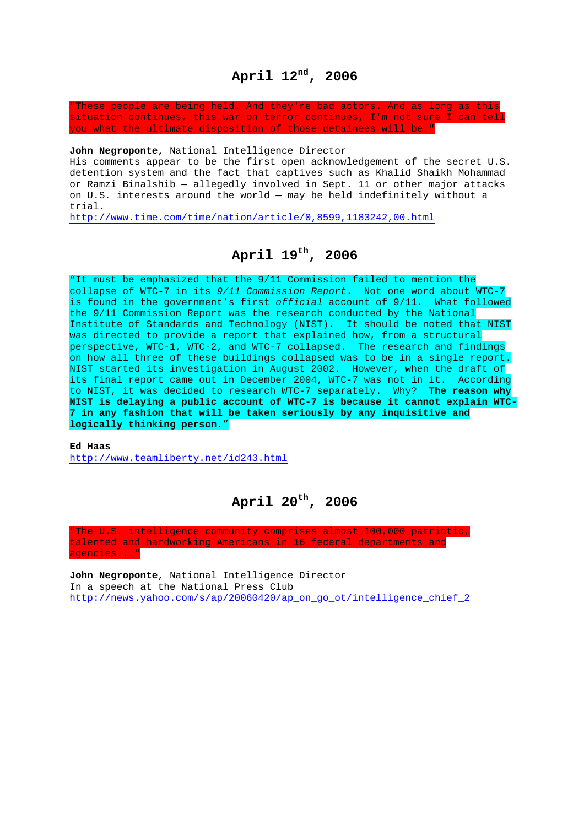### **April 12nd, 2006**

"These people are being held. And they're bad actors. And as long as this situation continues, this war on terror continues, I'm not sure I can tell you what the ultimate disposition of those detainees will be."

**John Negroponte,** National Intelligence Director

His comments appear to be the first open acknowledgement of the secret U.S. detention system and the fact that captives such as Khalid Shaikh Mohammad or Ramzi Binalshib — allegedly involved in Sept. 11 or other major attacks on U.S. interests around the world — may be held indefinitely without a trial.

http://www.time.com/time/nation/article/0,8599,1183242,00.html

## **April 19th, 2006**

"It must be emphasized that the 9/11 Commission failed to mention the collapse of WTC-7 in its 9/11 Commission Report. Not one word about WTC-7 is found in the government's first official account of 9/11. What followed the 9/11 Commission Report was the research conducted by the National Institute of Standards and Technology (NIST). It should be noted that NIST was directed to provide a report that explained how, from a structural perspective, WTC-1, WTC-2, and WTC-7 collapsed. The research and findings on how all three of these buildings collapsed was to be in a single report. NIST started its investigation in August 2002. However, when the draft of its final report came out in December 2004, WTC-7 was not in it. According to NIST, it was decided to research WTC-7 separately. Why? **The reason why NIST is delaying a public account of WTC-7 is because it cannot explain WTC-7 in any fashion that will be taken seriously by any inquisitive and logically thinking person**."

**Ed Haas**  http://www.teamliberty.net/id243.html

## **April 20th, 2006**

The U.S. intelligence community comprises almost 100,000 patriotic talented and hardworking Americans in 16 federal departments and agencies..."

**John Negroponte**, National Intelligence Director In a speech at the National Press Club http://news.yahoo.com/s/ap/20060420/ap\_on\_go\_ot/intelligence\_chief\_2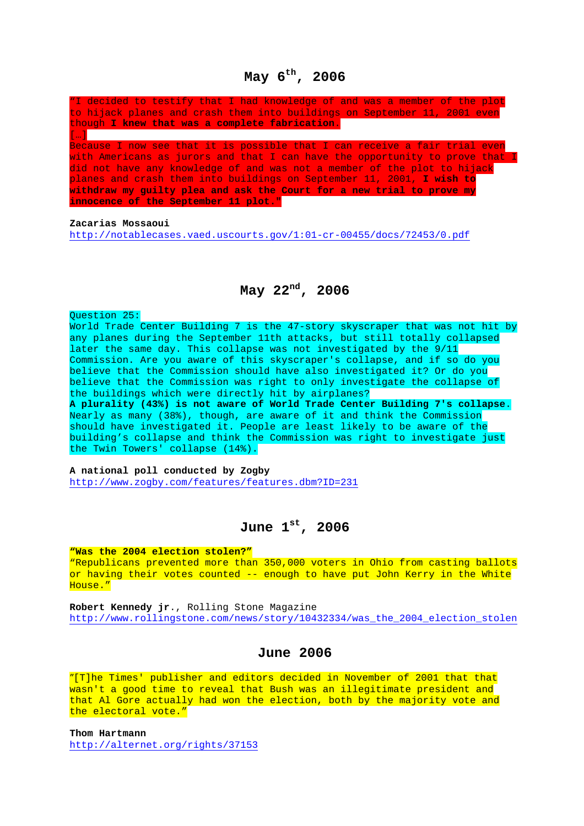**May 6th, 2006**

"I decided to testify that I had knowledge of and was a member of the plot to hijack planes and crash them into buildings on September 11, 2001 even though **I knew that was a complete fabrication**. […] Because I now see that it is possible that I can receive a fair trial even with Americans as jurors and that I can have the opportunity to prove that did not have any knowledge of and was not a member of the plot to hijack planes and crash them into buildings on September 11, 2001, **I wish to withdraw my guilty plea and ask the Court for a new trial to prove my innocence of the September 11 plot."** 

**Zacarias Mossaoui**  http://notablecases.vaed.uscourts.gov/1:01-cr-00455/docs/72453/0.pdf

#### **May 22nd, 2006**

Question 25: World Trade Center Building 7 is the 47-story skyscraper that was not hit by any planes during the September 11th attacks, but still totally collapsed later the same day. This collapse was not investigated by the 9/11 Commission. Are you aware of this skyscraper's collapse, and if so do you believe that the Commission should have also investigated it? Or do you believe that the Commission was right to only investigate the collapse of the buildings which were directly hit by airplanes? **A plurality (43%) is not aware of World Trade Center Building 7's collapse**. Nearly as many (38%), though, are aware of it and think the Commission should have investigated it. People are least likely to be aware of the building's collapse and think the Commission was right to investigate just the Twin Towers' collapse (14%).

**A national poll conducted by Zogby** http://www.zogby.com/features/features.dbm?ID=231

### **June 1st, 2006**

**"Was the 2004 election stolen?"**  "Republicans prevented more than 350,000 voters in Ohio from casting ballots or having their votes counted -- enough to have put John Kerry in the White House."

**Robert Kennedy jr**., Rolling Stone Magazine http://www.rollingstone.com/news/story/10432334/was\_the\_2004\_election\_stolen

#### **June 2006**

"[T]he Times' publisher and editors decided in November of 2001 that that wasn't a good time to reveal that Bush was an illegitimate president and that Al Gore actually had won the election, both by the majority vote and the electoral vote."

**Thom Hartmann** 

http://alternet.org/rights/37153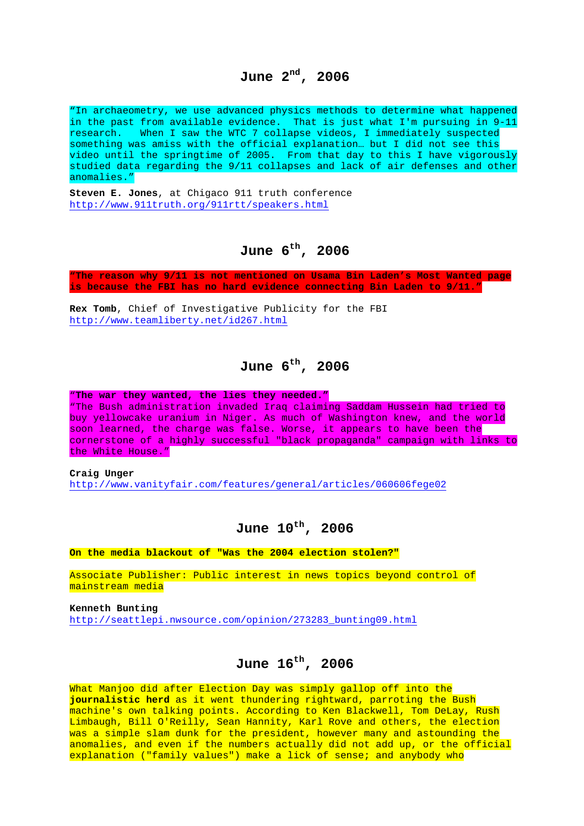### **June 2nd, 2006**

"In archaeometry, we use advanced physics methods to determine what happened in the past from available evidence. That is just what I'm pursuing in 9-11 research. When I saw the WTC 7 collapse videos, I immediately suspected something was amiss with the official explanation… but I did not see this video until the springtime of 2005. From that day to this I have vigorously studied data regarding the 9/11 collapses and lack of air defenses and other anomalies."

**Steven E. Jones**, at Chigaco 911 truth conference http://www.911truth.org/911rtt/speakers.html

## **June 6th, 2006**

**"The reason why 9/11 is not mentioned on Usama Bin Laden's Most Wanted page is because the FBI has no hard evidence connecting Bin Laden to 9/11."**

**Rex Tomb**, Chief of Investigative Publicity for the FBI http://www.teamliberty.net/id267.html

## **June 6th, 2006**

"**The war they wanted, the lies they needed."** "The Bush administration invaded Iraq claiming Saddam Hussein had tried to buy yellowcake uranium in Niger. As much of Washington knew, and the world soon learned, the charge was false. Worse, it appears to have been the cornerstone of a highly successful "black propaganda" campaign with links to the White House."

**Craig Unger**  http://www.vanityfair.com/features/general/articles/060606fege02

## **June 10th, 2006**

**On the media blackout of "Was the 2004 election stolen?"** 

Associate Publisher: Public interest in news topics beyond control of mainstream media

**Kenneth Bunting**  http://seattlepi.nwsource.com/opinion/273283\_bunting09.html

## **June 16th, 2006**

What Manjoo did after Election Day was simply gallop off into the **journalistic herd** as it went thundering rightward, parroting the Bush machine's own talking points. According to Ken Blackwell, Tom DeLay, Rush Limbaugh, Bill O'Reilly, Sean Hannity, Karl Rove and others, the election was a simple slam dunk for the president, however many and astounding the anomalies, and even if the numbers actually did not add up, or the official explanation ("family values") make a lick of sense; and anybody who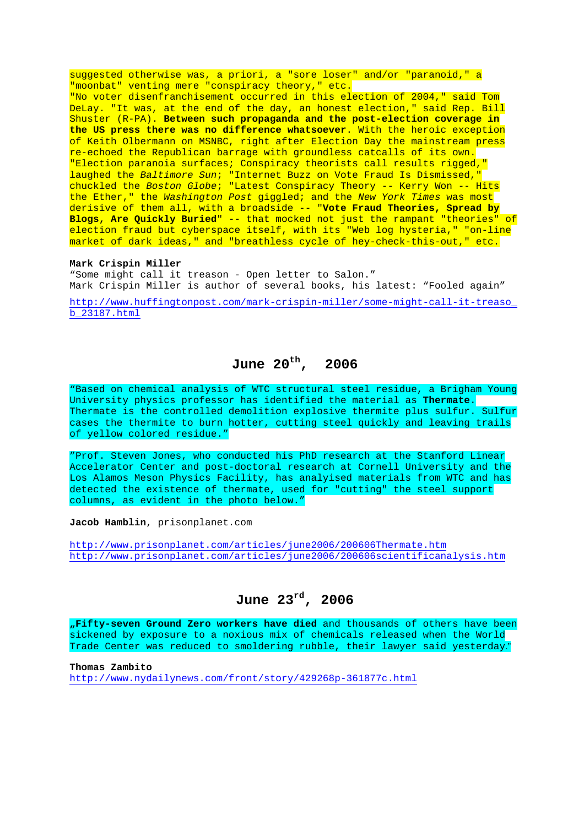suggested otherwise was, a priori, a "sore loser" and/or "paranoid," a "moonbat" venting mere "conspiracy theory," etc. "No voter disenfranchisement occurred in this election of 2004," said Tom DeLay. "It was, at the end of the day, an honest election," said Rep. Bill Shuster (R-PA). **Between such propaganda and the post-election coverage in the US press there was no difference whatsoever**. With the heroic exception of Keith Olbermann on MSNBC, right after Election Day the mainstream press re-echoed the Republican barrage with groundless catcalls of its own. "Election paranoia surfaces; Conspiracy theorists call results rigged," laughed the Baltimore Sun; "Internet Buzz on Vote Fraud Is Dismissed," chuckled the Boston Globe; "Latest Conspiracy Theory -- Kerry Won -- Hits the Ether," the Washington Post giggled; and the New York Times was most derisive of them all, with a broadside -- "**Vote Fraud Theories, Spread by Blogs, Are Quickly Buried**" -- that mocked not just the rampant "theories" of election fraud but cyberspace itself, with its "Web log hysteria," "on-line market of dark ideas," and "breathless cycle of hey-check-this-out," etc.

#### **Mark Crispin Miller**

"Some might call it treason - Open letter to Salon." Mark Crispin Miller is author of several books, his latest: "Fooled again"

http://www.huffingtonpost.com/mark-crispin-miller/some-might-call-it-treaso\_ b\_23187.html

## **June 20th, 2006**

"Based on chemical analysis of WTC structural steel residue, a Brigham Young University physics professor has identified the material as **Thermate**. Thermate is the controlled demolition explosive thermite plus sulfur. Sulfur cases the thermite to burn hotter, cutting steel quickly and leaving trails of yellow colored residue."

"Prof. Steven Jones, who conducted his PhD research at the Stanford Linear Accelerator Center and post-doctoral research at Cornell University and the Los Alamos Meson Physics Facility, has analyised materials from WTC and has detected the existence of thermate, used for "cutting" the steel support columns, as evident in the photo below."

**Jacob Hamblin**, prisonplanet.com

http://www.prisonplanet.com/articles/june2006/200606Thermate.htm http://www.prisonplanet.com/articles/june2006/200606scientificanalysis.htm

### **June 23rd, 2006**

**"Fifty-seven Ground Zero workers have died** and thousands of others have been sickened by exposure to a noxious mix of chemicals released when the World Trade Center was reduced to smoldering rubble, their lawyer said yesterday."

**Thomas Zambito** 

http://www.nydailynews.com/front/story/429268p-361877c.html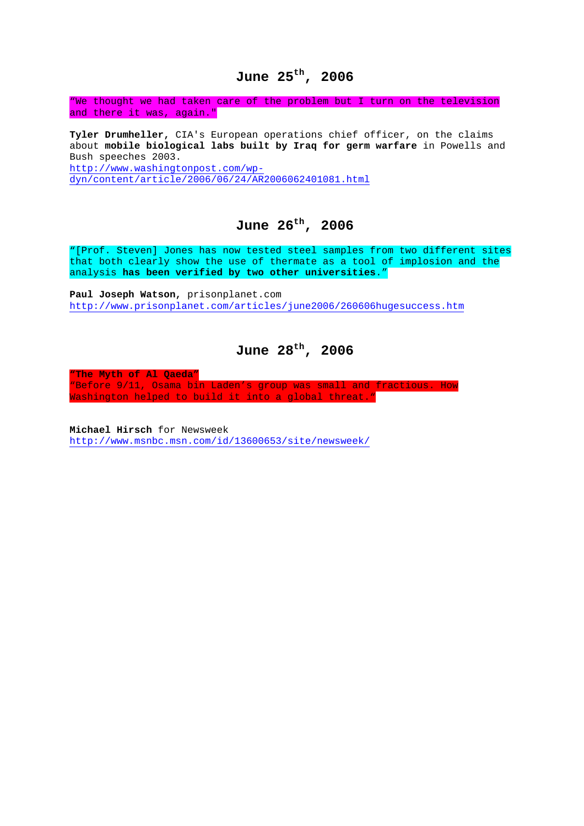## **June 25th, 2006**

"We thought we had taken care of the problem but I turn on the television and there it was, again."

**Tyler Drumheller,** CIA's European operations chief officer, on the claims about **mobile biological labs built by Iraq for germ warfare** in Powells and Bush speeches 2003. http://www.washingtonpost.com/wpdyn/content/article/2006/06/24/AR2006062401081.html

**June 26th, 2006** 

"[Prof. Steven] Jones has now tested steel samples from two different sites that both clearly show the use of thermate as a tool of implosion and the analysis **has been verified by two other universities**."

**Paul Joseph Watson,** prisonplanet.com http://www.prisonplanet.com/articles/june2006/260606hugesuccess.htm

## **June 28th, 2006**

**"The Myth of Al Qaeda"**  "Before 9/11, Osama bin Laden's group was small and fractious. How Washington helped to build it into a global threat."

**Michael Hirsch** for Newsweek http://www.msnbc.msn.com/id/13600653/site/newsweek/